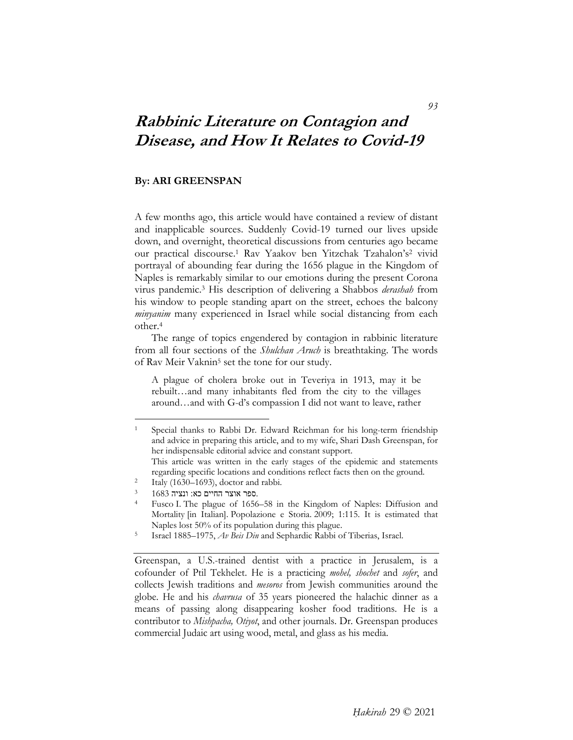# **Rabbinic Literature on Contagion and Disease, and How It Relates to Covid-19**

# **By: ARI GREENSPAN**

A few months ago, this article would have contained a review of distant and inapplicable sources. Suddenly Covid-19 turned our lives upside down, and overnight, theoretical discussions from centuries ago became our practical discourse.1 Rav Yaakov ben Yitzchak Tzahalon's2 vivid portrayal of abounding fear during the 1656 plague in the Kingdom of Naples is remarkably similar to our emotions during the present Corona virus pandemic.3 His description of delivering a Shabbos *derashah* from his window to people standing apart on the street, echoes the balcony *minyanim* many experienced in Israel while social distancing from each other.4

The range of topics engendered by contagion in rabbinic literature from all four sections of the *Shulchan Aruch* is breathtaking. The words of Rav Meir Vaknin<sup>5</sup> set the tone for our study.

A plague of cholera broke out in Teveriya in 1913, may it be rebuilt…and many inhabitants fled from the city to the villages around…and with G-d's compassion I did not want to leave, rather

 $\overline{a}$ 

Greenspan, a U.S.-trained dentist with a practice in Jerusalem, is a cofounder of Ptil Tekhelet. He is a practicing *mohel, shochet* and *sofer*, and collects Jewish traditions and *mesoros* from Jewish communities around the globe. He and his *chavrusa* of 35 years pioneered the halachic dinner as a means of passing along disappearing kosher food traditions. He is a contributor to *Mishpacha, Otiyot*, and other journals. Dr. Greenspan produces commercial Judaic art using wood, metal, and glass as his media.

<sup>&</sup>lt;sup>1</sup> Special thanks to Rabbi Dr. Edward Reichman for his long-term friendship and advice in preparing this article, and to my wife, Shari Dash Greenspan, for her indispensable editorial advice and constant support. This article was written in the early stages of the epidemic and statements

regarding specific locations and conditions reflect facts then on the ground. 2 Italy (1630–1693), doctor and rabbi.

 $3$  1683 ונציה :1683. ספר אוצר החיים אוצר ספר. 4 Fusco I. The plague of 1656–58 in the Kingdom of Naples: Diffusion and Mortality [in Italian]. Popolazione e Storia. 2009; 1:115. It is estimated that Naples lost 50% of its population during this plague.<br><sup>5</sup> Israel 1885–1975, *Av Beis Din* and Sephardic Rabbi of Tiberias, Israel.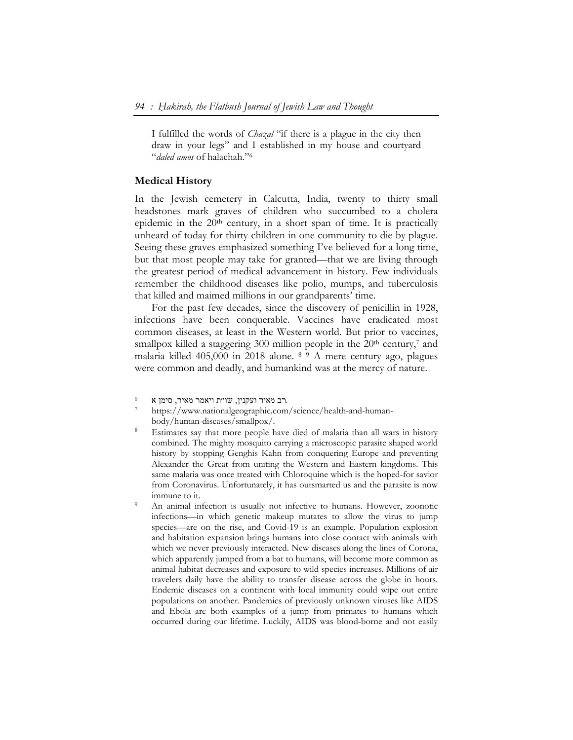I fulfilled the words of *Chazal* "if there is a plague in the city then draw in your legs" and I established in my house and courtyard "*daled amos* of halachah."6

## **Medical History**

In the Jewish cemetery in Calcutta, India, twenty to thirty small headstones mark graves of children who succumbed to a cholera epidemic in the 20<sup>th</sup> century, in a short span of time. It is practically unheard of today for thirty children in one community to die by plague. Seeing these graves emphasized something I've believed for a long time, but that most people may take for granted—that we are living through the greatest period of medical advancement in history. Few individuals remember the childhood diseases like polio, mumps, and tuberculosis that killed and maimed millions in our grandparents' time.

For the past few decades, since the discovery of penicillin in 1928, infections have been conquerable. Vaccines have eradicated most common diseases, at least in the Western world. But prior to vaccines, smallpox killed a staggering 300 million people in the  $20<sup>th</sup>$  century,<sup>7</sup> and malaria killed 405,000 in 2018 alone. 8 9 A mere century ago, plagues were common and deadly, and humankind was at the mercy of nature.

 $6$  א סימן מאיר ויאמר שו״ת היאמר שו״ת , 7 https://www.nationalgeographic.com/science/health-and-humanbody/human-diseases/smallpox/.

<sup>8</sup> Estimates say that more people have died of malaria than all wars in history combined. The mighty mosquito carrying a microscopic parasite shaped world history by stopping Genghis Kahn from conquering Europe and preventing Alexander the Great from uniting the Western and Eastern kingdoms. This same malaria was once treated with Chloroquine which is the hoped-for savior from Coronavirus. Unfortunately, it has outsmarted us and the parasite is now immune to it.<br><sup>9</sup> An animal infection is usually not infective to humans. However, zoonotic

infections—in which genetic makeup mutates to allow the virus to jump species—are on the rise, and Covid-19 is an example. Population explosion and habitation expansion brings humans into close contact with animals with which we never previously interacted. New diseases along the lines of Corona, which apparently jumped from a bat to humans, will become more common as animal habitat decreases and exposure to wild species increases. Millions of air travelers daily have the ability to transfer disease across the globe in hours. Endemic diseases on a continent with local immunity could wipe out entire populations on another. Pandemics of previously unknown viruses like AIDS and Ebola are both examples of a jump from primates to humans which occurred during our lifetime. Luckily, AIDS was blood-borne and not easily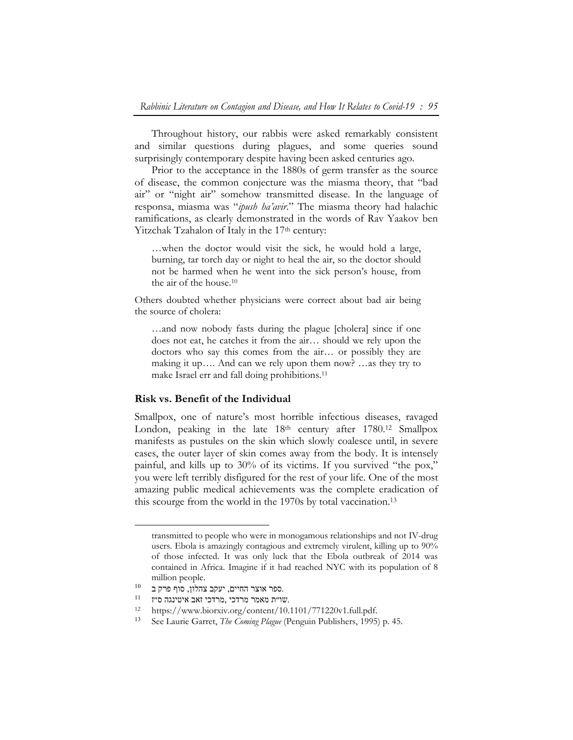Throughout history, our rabbis were asked remarkably consistent and similar questions during plagues, and some queries sound surprisingly contemporary despite having been asked centuries ago.

Prior to the acceptance in the 1880s of germ transfer as the source of disease, the common conjecture was the miasma theory, that "bad air" or "night air" somehow transmitted disease. In the language of responsa, miasma was "*ipush ha'avir*." The miasma theory had halachic ramifications, as clearly demonstrated in the words of Rav Yaakov ben Yitzchak Tzahalon of Italy in the 17<sup>th</sup> century:

…when the doctor would visit the sick, he would hold a large, burning, tar torch day or night to heal the air, so the doctor should not be harmed when he went into the sick person's house, from the air of the house.10

Others doubted whether physicians were correct about bad air being the source of cholera:

…and now nobody fasts during the plague [cholera] since if one does not eat, he catches it from the air… should we rely upon the doctors who say this comes from the air… or possibly they are making it up…. And can we rely upon them now? …as they try to make Israel err and fall doing prohibitions.<sup>11</sup>

#### **Risk vs. Benefit of the Individual**

Smallpox, one of nature's most horrible infectious diseases, ravaged London, peaking in the late 18<sup>th</sup> century after 1780.<sup>12</sup> Smallpox manifests as pustules on the skin which slowly coalesce until, in severe cases, the outer layer of skin comes away from the body. It is intensely painful, and kills up to 30% of its victims. If you survived "the pox," you were left terribly disfigured for the rest of your life. One of the most amazing public medical achievements was the complete eradication of this scourge from the world in the 1970s by total vaccination.13

transmitted to people who were in monogamous relationships and not IV-drug users. Ebola is amazingly contagious and extremely virulent, killing up to 90% of those infected. It was only luck that the Ebola outbreak of 2014 was contained in Africa. Imagine if it had reached NYC with its population of 8 million people.

 $\begin{array}{ll} \text{10} & \text{11} & \text{12} \\ \text{20} & \text{21} & \text{22} \\ \text{31} & \text{33} & \text{34} \\ \text{42} & \text{23} & \text{44} \\ \text{55} & \text{24} & \text{55} \\ \text{66} & \text{67} & \text{67} \\ \text{67} & \text{67} & \text{67} \\ \text{67} & \text{67} & \text{67} \\ \text{68} & \text{67} & \text{67} \\ \text{69} & \text{67} & \text{67} \\ \$ 

<sup>13</sup> See Laurie Garret, *The Coming Plague* (Penguin Publishers, 1995) p. 45.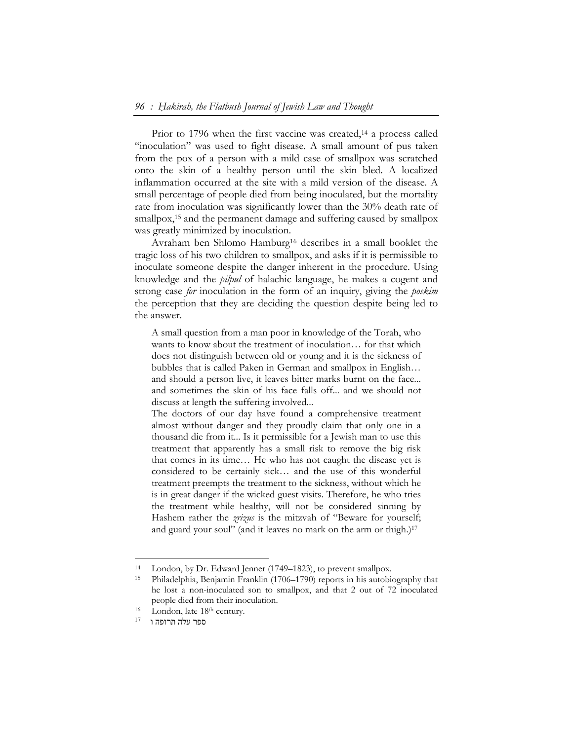Prior to 1796 when the first vaccine was created,<sup>14</sup> a process called "inoculation" was used to fight disease. A small amount of pus taken from the pox of a person with a mild case of smallpox was scratched onto the skin of a healthy person until the skin bled. A localized inflammation occurred at the site with a mild version of the disease. A small percentage of people died from being inoculated, but the mortality rate from inoculation was significantly lower than the 30% death rate of smallpox,<sup>15</sup> and the permanent damage and suffering caused by smallpox was greatly minimized by inoculation.

Avraham ben Shlomo Hamburg16 describes in a small booklet the tragic loss of his two children to smallpox, and asks if it is permissible to inoculate someone despite the danger inherent in the procedure. Using knowledge and the *pilpul* of halachic language, he makes a cogent and strong case *for* inoculation in the form of an inquiry, giving the *poskim* the perception that they are deciding the question despite being led to the answer.

A small question from a man poor in knowledge of the Torah, who wants to know about the treatment of inoculation… for that which does not distinguish between old or young and it is the sickness of bubbles that is called Paken in German and smallpox in English… and should a person live, it leaves bitter marks burnt on the face... and sometimes the skin of his face falls off... and we should not discuss at length the suffering involved...

The doctors of our day have found a comprehensive treatment almost without danger and they proudly claim that only one in a thousand die from it... Is it permissible for a Jewish man to use this treatment that apparently has a small risk to remove the big risk that comes in its time… He who has not caught the disease yet is considered to be certainly sick… and the use of this wonderful treatment preempts the treatment to the sickness, without which he is in great danger if the wicked guest visits. Therefore, he who tries the treatment while healthy, will not be considered sinning by Hashem rather the *zrizus* is the mitzvah of "Beware for yourself; and guard your soul" (and it leaves no mark on the arm or thigh.)<sup>17</sup>

 $\ddot{\phantom{a}}$ 

<sup>14</sup> London, by Dr. Edward Jenner (1749–1823), to prevent smallpox. 15 Philadelphia, Benjamin Franklin (1706–1790) reports in his autobiography that he lost a non-inoculated son to smallpox, and that 2 out of 72 inoculated people died from their inoculation.<br><sup>16</sup> London, late 18<sup>th</sup> century.

 $^{17}$ ו תרופה ו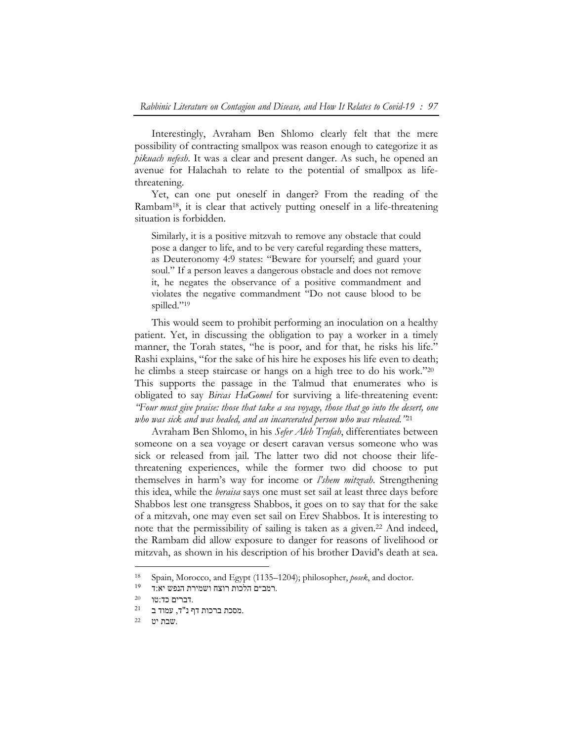Interestingly, Avraham Ben Shlomo clearly felt that the mere possibility of contracting smallpox was reason enough to categorize it as *pikuach nefesh*. It was a clear and present danger. As such, he opened an avenue for Halachah to relate to the potential of smallpox as lifethreatening.

Yet, can one put oneself in danger? From the reading of the Rambam18, it is clear that actively putting oneself in a life-threatening situation is forbidden.

Similarly, it is a positive mitzvah to remove any obstacle that could pose a danger to life, and to be very careful regarding these matters, as Deuteronomy 4:9 states: "Beware for yourself; and guard your soul." If a person leaves a dangerous obstacle and does not remove it, he negates the observance of a positive commandment and violates the negative commandment "Do not cause blood to be spilled."<sup>19</sup>

This would seem to prohibit performing an inoculation on a healthy patient. Yet, in discussing the obligation to pay a worker in a timely manner, the Torah states, "he is poor, and for that, he risks his life." Rashi explains, "for the sake of his hire he exposes his life even to death; he climbs a steep staircase or hangs on a high tree to do his work."20 This supports the passage in the Talmud that enumerates who is obligated to say *Bircas HaGomel* for surviving a life-threatening event: *"Four must give praise: those that take a sea voyage, those that go into the desert, one who was sick and was healed, and an incarcerated person who was released."*21

Avraham Ben Shlomo, in his *Sefer Aleh Trufah*, differentiates between someone on a sea voyage or desert caravan versus someone who was sick or released from jail. The latter two did not choose their lifethreatening experiences, while the former two did choose to put themselves in harm's way for income or *l'shem mitzvah*. Strengthening this idea, while the *beraisa* says one must set sail at least three days before Shabbos lest one transgress Shabbos, it goes on to say that for the sake of a mitzvah, one may even set sail on Erev Shabbos. It is interesting to note that the permissibility of sailing is taken as a given.22 And indeed, the Rambam did allow exposure to danger for reasons of livelihood or mitzvah, as shown in his description of his brother David's death at sea.

<sup>18</sup> Spain, Morocco, and Egypt (1135–1204); philosopher, *posek*, and doctor.

רמב״ם הלכות רוצח ושמירת הנפש יא:ד <sup>19</sup><br>20 .דברים כד:טו 20 .<br>21 .מסכת ברכות דף נ"ד, עמוד ב 21 .

<sup>.</sup>שבת יט 22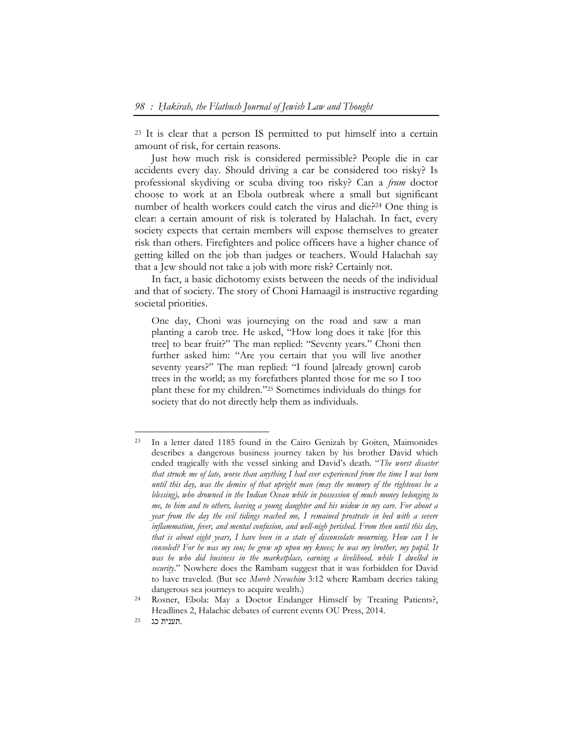23 It is clear that a person IS permitted to put himself into a certain amount of risk, for certain reasons.

Just how much risk is considered permissible? People die in car accidents every day. Should driving a car be considered too risky? Is professional skydiving or scuba diving too risky? Can a *frum* doctor choose to work at an Ebola outbreak where a small but significant number of health workers could catch the virus and die?24 One thing is clear: a certain amount of risk is tolerated by Halachah. In fact, every society expects that certain members will expose themselves to greater risk than others. Firefighters and police officers have a higher chance of getting killed on the job than judges or teachers. Would Halachah say that a Jew should not take a job with more risk? Certainly not.

In fact, a basic dichotomy exists between the needs of the individual and that of society. The story of Choni Hamaagil is instructive regarding societal priorities.

One day, Choni was journeying on the road and saw a man planting a carob tree. He asked, "How long does it take [for this tree] to bear fruit?" The man replied: "Seventy years." Choni then further asked him: "Are you certain that you will live another seventy years?" The man replied: "I found [already grown] carob trees in the world; as my forefathers planted those for me so I too plant these for my children."25 Sometimes individuals do things for society that do not directly help them as individuals.

<sup>23</sup> In a letter dated 1185 found in the Cairo Genizah by Goiten, Maimonides describes a dangerous business journey taken by his brother David which ended tragically with the vessel sinking and David's death. "*The worst disaster that struck me of late, worse than anything I had ever experienced from the time I was born until this day, was the demise of that upright man (may the memory of the righteous be a blessing), who drowned in the Indian Ocean while in possession of much money belonging to me, to him and to others, leaving a young daughter and his widow in my care. For about a year from the day the evil tidings reached me, I remained prostrate in bed with a severe inflammation, fever, and mental confusion, and well-nigh perished. From then until this day, that is about eight years, I have been in a state of disconsolate mourning. How can I be consoled? For he was my son; he grew up upon my knees; he was my brother, my pupil. It*  was he who did business in the marketplace, earning a livelihood, while I dwelled in *security*." Nowhere does the Rambam suggest that it was forbidden for David to have traveled. (But see *Moreh Nevuchim* 3:12 where Rambam decries taking dangerous sea journeys to acquire wealth.)

<sup>24</sup> Rosner, Ebola: May a Doctor Endanger Himself by Treating Patients?, Headlines 2, Halachic debates of current events OU Press, 2014. 25 כג תענית.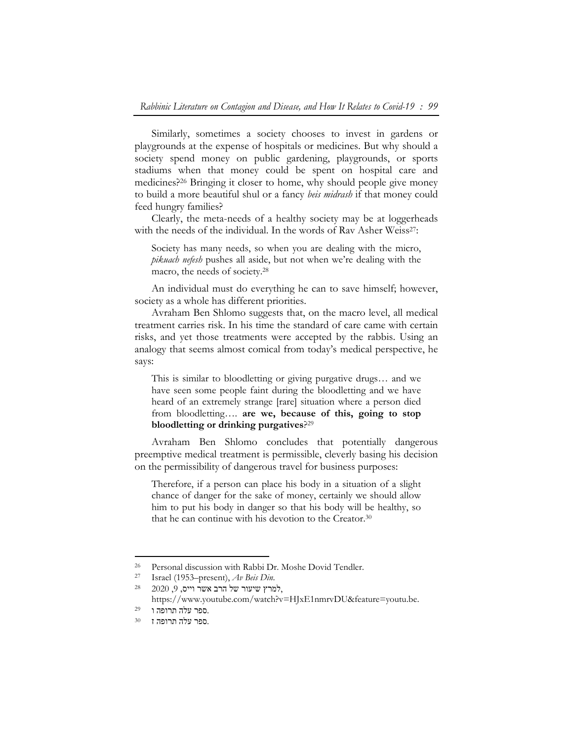Similarly, sometimes a society chooses to invest in gardens or playgrounds at the expense of hospitals or medicines. But why should a society spend money on public gardening, playgrounds, or sports stadiums when that money could be spent on hospital care and medicines?26 Bringing it closer to home, why should people give money to build a more beautiful shul or a fancy *beis midrash* if that money could feed hungry families?

Clearly, the meta-needs of a healthy society may be at loggerheads with the needs of the individual. In the words of Rav Asher Weiss<sup>27</sup>:

Society has many needs, so when you are dealing with the micro, *pikuach nefesh* pushes all aside, but not when we're dealing with the macro, the needs of society.28

An individual must do everything he can to save himself; however, society as a whole has different priorities.

Avraham Ben Shlomo suggests that, on the macro level, all medical treatment carries risk. In his time the standard of care came with certain risks, and yet those treatments were accepted by the rabbis. Using an analogy that seems almost comical from today's medical perspective, he says:

This is similar to bloodletting or giving purgative drugs… and we have seen some people faint during the bloodletting and we have heard of an extremely strange [rare] situation where a person died from bloodletting…. **are we, because of this, going to stop bloodletting or drinking purgatives**?29

Avraham Ben Shlomo concludes that potentially dangerous preemptive medical treatment is permissible, cleverly basing his decision on the permissibility of dangerous travel for business purposes:

Therefore, if a person can place his body in a situation of a slight chance of danger for the sake of money, certainly we should allow him to put his body in danger so that his body will be healthy, so that he can continue with his devotion to the Creator.30

<sup>26</sup> Personal discussion with Rabbi Dr. Moshe Dovid Tendler. 27 Israel (1953–present), *Av Beis Din*. 28 2020 ,9 ,וייס אשר הרב של שיעור למרץ,

https://www.youtube.com/watch?v=HJxE1nmrvDU&feature=youtu.be.<br>29 ספר עלה ספר עלה ספר. 30 ספר.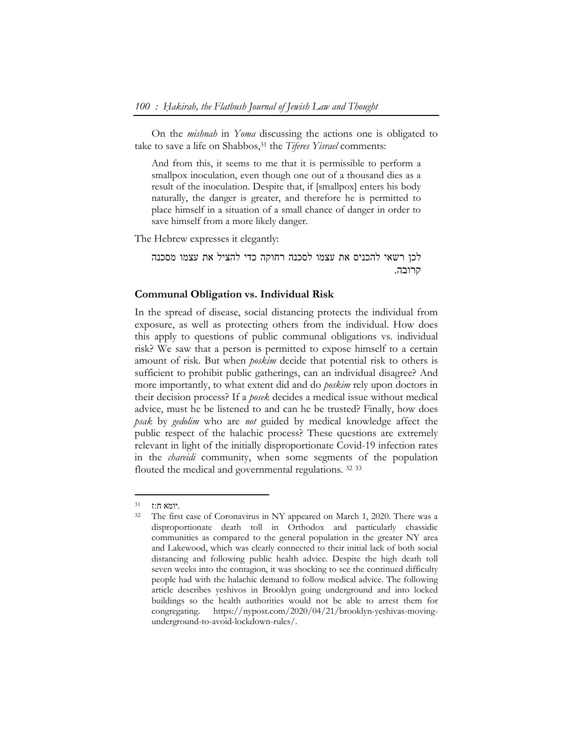On the *mishnah* in *Yoma* discussing the actions one is obligated to take to save a life on Shabbos,<sup>31</sup> the *Tiferes Yisrael* comments:

And from this, it seems to me that it is permissible to perform a smallpox inoculation, even though one out of a thousand dies as a result of the inoculation. Despite that, if [smallpox] enters his body naturally, the danger is greater, and therefore he is permitted to place himself in a situation of a small chance of danger in order to save himself from a more likely danger.

The Hebrew expresses it elegantly:

לכן רשאי להכניס את עצמו לסכנה רחוקה כדי להציל את עצמו מסכנה קרובה.

#### **Communal Obligation vs. Individual Risk**

In the spread of disease, social distancing protects the individual from exposure, as well as protecting others from the individual. How does this apply to questions of public communal obligations vs. individual risk? We saw that a person is permitted to expose himself to a certain amount of risk. But when *poskim* decide that potential risk to others is sufficient to prohibit public gatherings, can an individual disagree? And more importantly, to what extent did and do *poskim* rely upon doctors in their decision process? If a *posek* decides a medical issue without medical advice, must he be listened to and can he be trusted? Finally, how does *psak* by *gedolim* who are *not* guided by medical knowledge affect the public respect of the halachic process? These questions are extremely relevant in light of the initially disproportionate Covid-19 infection rates in the *chareidi* community, when some segments of the population flouted the medical and governmental regulations. 32 <sup>33</sup>

<sup>&</sup>lt;sup>31</sup>  $\frac{31}{2}$   $\frac{32}{2}$ . The first case of Coronavirus in NY appeared on March 1, 2020. There was a disproportionate death toll in Orthodox and particularly chassidic communities as compared to the general population in the greater NY area and Lakewood, which was clearly connected to their initial lack of both social distancing and following public health advice. Despite the high death toll seven weeks into the contagion, it was shocking to see the continued difficulty people had with the halachic demand to follow medical advice. The following article describes yeshivos in Brooklyn going underground and into locked buildings so the health authorities would not be able to arrest them for congregating. https://nypost.com/2020/04/21/brooklyn-yeshivas-movingunderground-to-avoid-lockdown-rules/.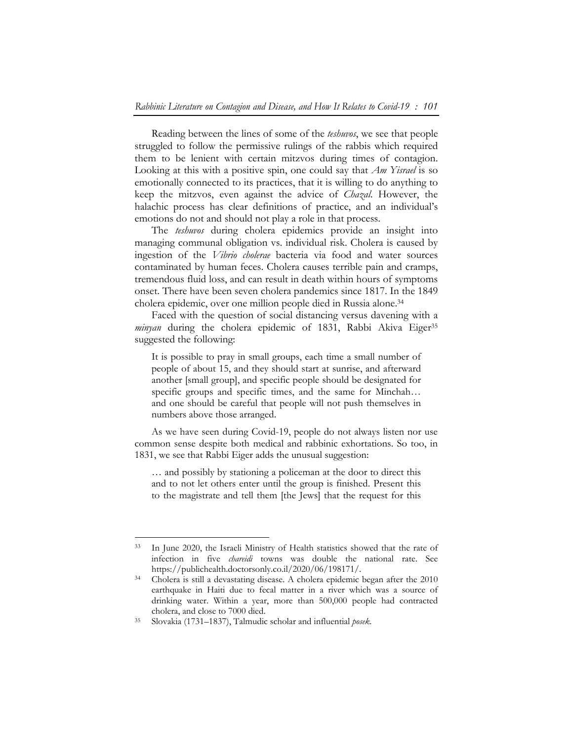Reading between the lines of some of the *teshuvos*, we see that people struggled to follow the permissive rulings of the rabbis which required them to be lenient with certain mitzvos during times of contagion. Looking at this with a positive spin, one could say that *Am Yisrael* is so emotionally connected to its practices, that it is willing to do anything to keep the mitzvos, even against the advice of *Chazal*. However, the halachic process has clear definitions of practice, and an individual's emotions do not and should not play a role in that process.

The *teshuvos* during cholera epidemics provide an insight into managing communal obligation vs. individual risk. Cholera is caused by ingestion of the *Vibrio cholerae* bacteria via food and water sources contaminated by human feces. Cholera causes terrible pain and cramps, tremendous fluid loss, and can result in death within hours of symptoms onset. There have been seven cholera pandemics since 1817. In the 1849 cholera epidemic, over one million people died in Russia alone.34

Faced with the question of social distancing versus davening with a *minyan* during the cholera epidemic of 1831, Rabbi Akiva Eiger<sup>35</sup> suggested the following:

It is possible to pray in small groups, each time a small number of people of about 15, and they should start at sunrise, and afterward another [small group], and specific people should be designated for specific groups and specific times, and the same for Minchah... and one should be careful that people will not push themselves in numbers above those arranged.

As we have seen during Covid-19, people do not always listen nor use common sense despite both medical and rabbinic exhortations. So too, in 1831, we see that Rabbi Eiger adds the unusual suggestion:

… and possibly by stationing a policeman at the door to direct this and to not let others enter until the group is finished. Present this to the magistrate and tell them [the Jews] that the request for this

<sup>33</sup> In June 2020, the Israeli Ministry of Health statistics showed that the rate of infection in five *chareidi* towns was double the national rate. See https://publichealth.doctorsonly.co.il/2020/06/198171/. 34 Cholera is still a devastating disease. A cholera epidemic began after the 2010

earthquake in Haiti due to fecal matter in a river which was a source of drinking water. Within a year, more than 500,000 people had contracted cholera, and close to 7000 died. 35 Slovakia (1731–1837), Talmudic scholar and influential *posek*.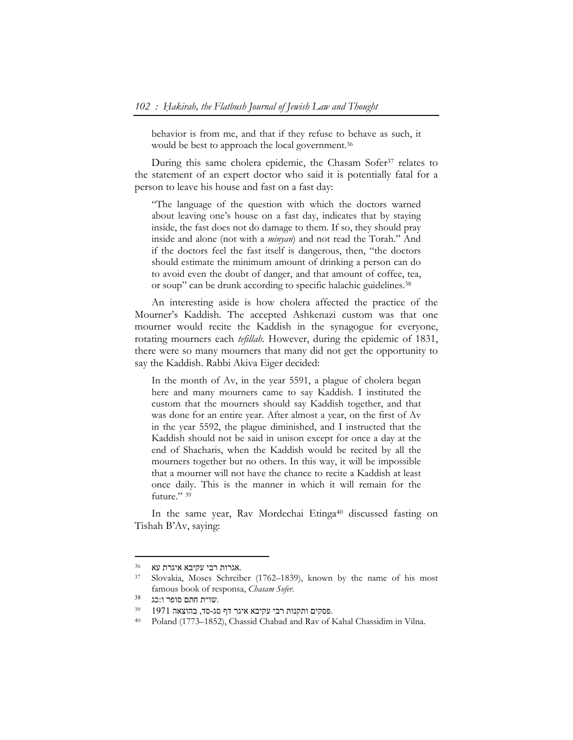behavior is from me, and that if they refuse to behave as such, it would be best to approach the local government.<sup>36</sup>

During this same cholera epidemic, the Chasam Sofer<sup>37</sup> relates to the statement of an expert doctor who said it is potentially fatal for a person to leave his house and fast on a fast day:

"The language of the question with which the doctors warned about leaving one's house on a fast day, indicates that by staying inside, the fast does not do damage to them. If so, they should pray inside and alone (not with a *minyan*) and not read the Torah." And if the doctors feel the fast itself is dangerous, then, "the doctors should estimate the minimum amount of drinking a person can do to avoid even the doubt of danger, and that amount of coffee, tea, or soup" can be drunk according to specific halachic guidelines.38

An interesting aside is how cholera affected the practice of the Mourner's Kaddish. The accepted Ashkenazi custom was that one mourner would recite the Kaddish in the synagogue for everyone, rotating mourners each *tefillah*. However, during the epidemic of 1831, there were so many mourners that many did not get the opportunity to say the Kaddish. Rabbi Akiva Eiger decided:

In the month of Av, in the year 5591, a plague of cholera began here and many mourners came to say Kaddish. I instituted the custom that the mourners should say Kaddish together, and that was done for an entire year. After almost a year, on the first of Av in the year 5592, the plague diminished, and I instructed that the Kaddish should not be said in unison except for once a day at the end of Shacharis, when the Kaddish would be recited by all the mourners together but no others. In this way, it will be impossible that a mourner will not have the chance to recite a Kaddish at least once daily. This is the manner in which it will remain for the future." 39

In the same year, Rav Mordechai Etinga<sup>40</sup> discussed fasting on Tishah B'Av, saying:

 $^{36}$  אגרות רבי אקיבא איגרת עקיבא אגרות רבי אגרות אגרות. 37 Slovakia, Moses Schreiber (1762–1839), known by the name of his most famous book of responsa, *Chasam Sofer*.

שו״ת חתם סופר ו:כג:  $^{38}$ <br>39 פסקים ותקנות רבי עקיבא איגר דף סג-סד, בהוצאה 1971.<br>40 Poland (1773–1852), Chassid Chabad and Rav of Kahal Chassidim in Vilna.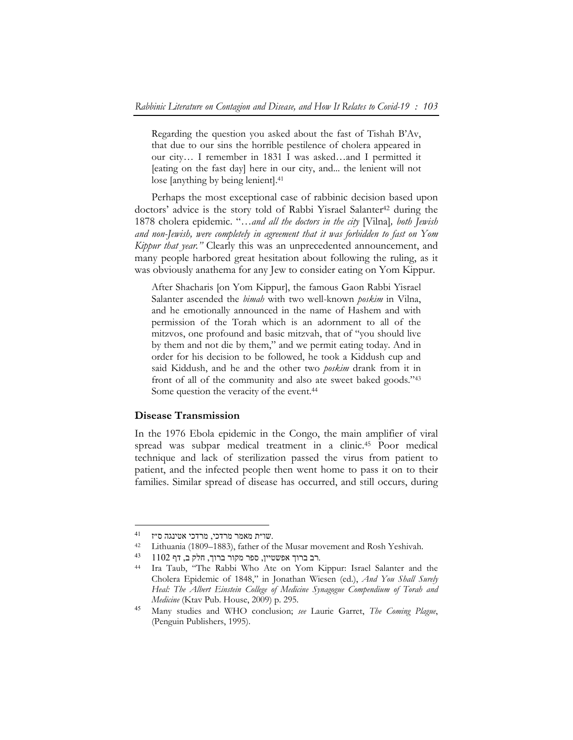Regarding the question you asked about the fast of Tishah B'Av, that due to our sins the horrible pestilence of cholera appeared in our city… I remember in 1831 I was asked…and I permitted it [eating on the fast day] here in our city, and... the lenient will not lose [anything by being lenient].41

Perhaps the most exceptional case of rabbinic decision based upon doctors' advice is the story told of Rabbi Yisrael Salanter42 during the 1878 cholera epidemic. "…*and all the doctors in the city* [Vilna]*, both Jewish and non-Jewish, were completely in agreement that it was forbidden to fast on Yom Kippur that year."* Clearly this was an unprecedented announcement, and many people harbored great hesitation about following the ruling, as it was obviously anathema for any Jew to consider eating on Yom Kippur.

After Shacharis [on Yom Kippur], the famous Gaon Rabbi Yisrael Salanter ascended the *bimah* with two well-known *poskim* in Vilna, and he emotionally announced in the name of Hashem and with permission of the Torah which is an adornment to all of the mitzvos, one profound and basic mitzvah, that of "you should live by them and not die by them," and we permit eating today. And in order for his decision to be followed, he took a Kiddush cup and said Kiddush, and he and the other two *poskim* drank from it in front of all of the community and also ate sweet baked goods."43 Some question the veracity of the event.<sup>44</sup>

## **Disease Transmission**

In the 1976 Ebola epidemic in the Congo, the main amplifier of viral spread was subpar medical treatment in a clinic.45 Poor medical technique and lack of sterilization passed the virus from patient to patient, and the infected people then went home to pass it on to their families. Similar spread of disease has occurred, and still occurs, during

<sup>41</sup> ס״ז אטינגה מרדכי ,מרדכי מאמר שו״ת. 42 Lithuania (1809–1883), father of the Musar movement and Rosh Yeshivah.

<sup>43</sup> רב הרוך הלק ב, דף 1102 ה-43 תשטיין, הכרוך, הלק ב, דף 1102.

<sup>44</sup> Ira Taub, "The Rabbi Who Ate on Yom Kippur: Israel Salanter and the Cholera Epidemic of 1848," in Jonathan Wiesen (ed.), *And You Shall Surely Heal: The Albert Einstein College of Medicine Synagogue Compendium of Torah and Medicine* (Ktav Pub. House, 2009) p. 295.

<sup>45</sup> Many studies and WHO conclusion; *see* Laurie Garret, *The Coming Plague*, (Penguin Publishers, 1995).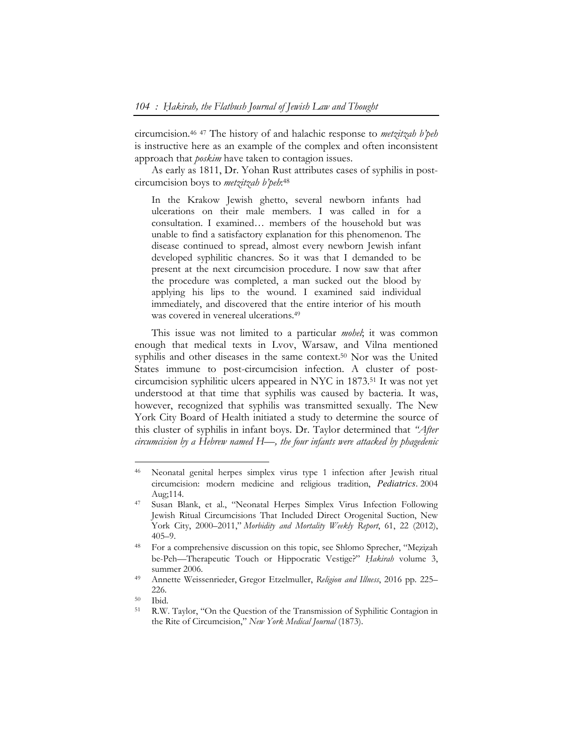circumcision.46 47 The history of and halachic response to *metzitzah b'peh* is instructive here as an example of the complex and often inconsistent approach that *poskim* have taken to contagion issues.

As early as 1811, Dr. Yohan Rust attributes cases of syphilis in postcircumcision boys to *metzitzah b'peh*: 48

In the Krakow Jewish ghetto, several newborn infants had ulcerations on their male members. I was called in for a consultation. I examined… members of the household but was unable to find a satisfactory explanation for this phenomenon. The disease continued to spread, almost every newborn Jewish infant developed syphilitic chancres. So it was that I demanded to be present at the next circumcision procedure. I now saw that after the procedure was completed, a man sucked out the blood by applying his lips to the wound. I examined said individual immediately, and discovered that the entire interior of his mouth was covered in venereal ulcerations.<sup>49</sup>

This issue was not limited to a particular *mohel*; it was common enough that medical texts in Lvov, Warsaw, and Vilna mentioned syphilis and other diseases in the same context.<sup>50</sup> Nor was the United States immune to post-circumcision infection. A cluster of postcircumcision syphilitic ulcers appeared in NYC in 1873.51 It was not yet understood at that time that syphilis was caused by bacteria. It was, however, recognized that syphilis was transmitted sexually. The New York City Board of Health initiated a study to determine the source of this cluster of syphilis in infant boys. Dr. Taylor determined that *"After circumcision by a Hebrew named H—, the four infants were attacked by phagedenic* 

<sup>46</sup> Neonatal genital herpes simplex virus type 1 infection after Jewish ritual circumcision: modern medicine and religious tradition, *Pediatrics*. 2004 Aug;114. 47 Susan Blank, et al., "Neonatal Herpes Simplex Virus Infection Following

Jewish Ritual Circumcisions That Included Direct Orogenital Suction, New York City, 2000–2011," *Morbidity and Mortality Weekly Report*, 61, 22 (2012), 405–9.<br><sup>48</sup> For a comprehensive discussion on this topic, see Shlomo Sprecher, "Mezizah

be-Peh—Therapeutic Touch or Hippocratic Vestige?" *Ḥakirah* volume 3, summer 2006. 49 Annette Weissenrieder, Gregor Etzelmuller, *Religion and Illness*, 2016 pp. 225–

<sup>226. 50</sup> Ibid.

<sup>51</sup> R.W. Taylor, "On the Question of the Transmission of Syphilitic Contagion in the Rite of Circumcision," *New York Medical Journal* (1873).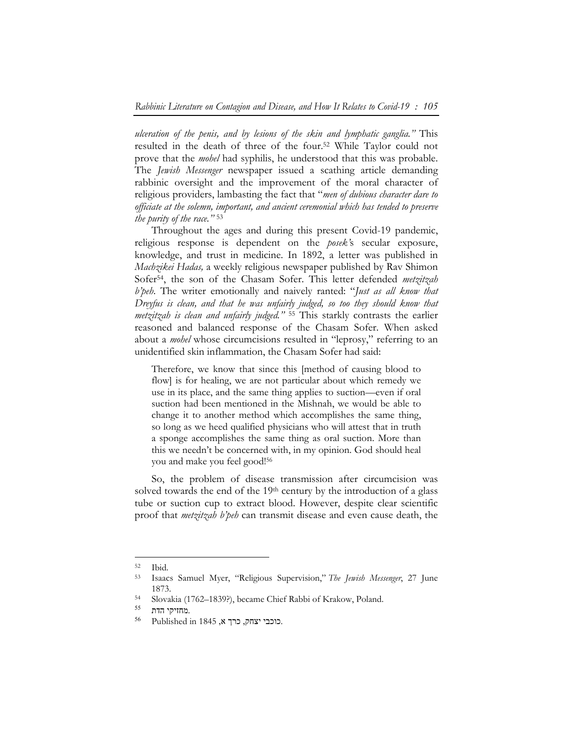*ulceration of the penis, and by lesions of the skin and lymphatic ganglia."* This resulted in the death of three of the four.52 While Taylor could not prove that the *mohel* had syphilis, he understood that this was probable. The *Jewish Messenger* newspaper issued a scathing article demanding rabbinic oversight and the improvement of the moral character of religious providers, lambasting the fact that "*men of dubious character dare to officiate at the solemn, important, and ancient ceremonial which has tended to preserve the purity of the race."* <sup>53</sup>

Throughout the ages and during this present Covid-19 pandemic, religious response is dependent on the *posek'*s secular exposure, knowledge, and trust in medicine. In 1892, a letter was published in *Machzikei Hadas,* a weekly religious newspaper published by Rav Shimon Sofer54, the son of the Chasam Sofer. This letter defended *metzitzah b'peh*. The writer emotionally and naively ranted: "*Just as all know that Dreyfus is clean, and that he was unfairly judged, so too they should know that metzitzah is clean and unfairly judged."* 55 This starkly contrasts the earlier reasoned and balanced response of the Chasam Sofer. When asked about a *mohel* whose circumcisions resulted in "leprosy," referring to an unidentified skin inflammation, the Chasam Sofer had said:

Therefore, we know that since this [method of causing blood to flow] is for healing, we are not particular about which remedy we use in its place, and the same thing applies to suction—even if oral suction had been mentioned in the Mishnah, we would be able to change it to another method which accomplishes the same thing, so long as we heed qualified physicians who will attest that in truth a sponge accomplishes the same thing as oral suction. More than this we needn't be concerned with, in my opinion. God should heal you and make you feel good!56

So, the problem of disease transmission after circumcision was solved towards the end of the 19th century by the introduction of a glass tube or suction cup to extract blood. However, despite clear scientific proof that *metzitzah b'peh* can transmit disease and even cause death, the

<sup>52</sup> Ibid.

<sup>53</sup> Isaacs Samuel Myer, "Religious Supervision," *The Jewish Messenger*, 27 June 1873. 54 Slovakia (1762–1839?), became Chief Rabbi of Krakow, Poland.

<sup>55</sup> הדת מחזיקי.

<sup>56</sup> Published in 1845 , כוכבי יצחק, כרך א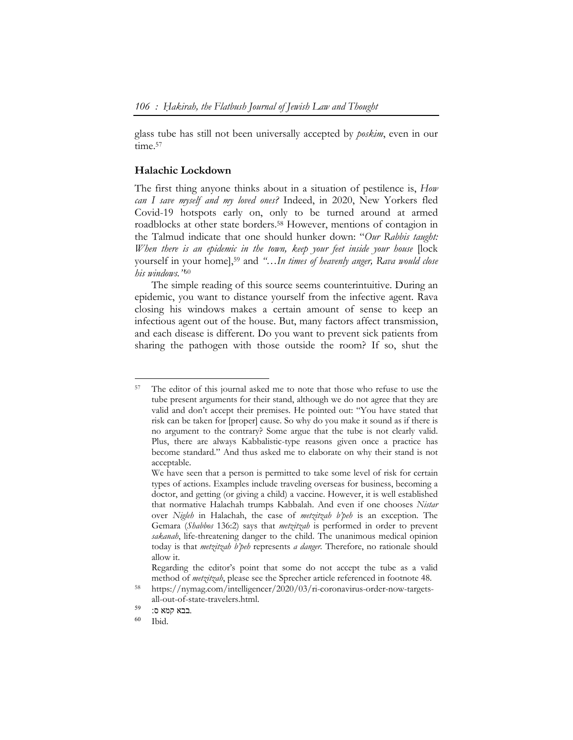glass tube has still not been universally accepted by *poskim*, even in our time.57

## **Halachic Lockdown**

The first thing anyone thinks about in a situation of pestilence is, *How can I save myself and my loved ones?* Indeed, in 2020, New Yorkers fled Covid-19 hotspots early on, only to be turned around at armed roadblocks at other state borders.58 However, mentions of contagion in the Talmud indicate that one should hunker down: "*Our Rabbis taught: When there is an epidemic in the town, keep your feet inside your house* [lock yourself in your home],59 and *"…In times of heavenly anger, Rava would close his windows."*<sup>60</sup>

The simple reading of this source seems counterintuitive. During an epidemic, you want to distance yourself from the infective agent. Rava closing his windows makes a certain amount of sense to keep an infectious agent out of the house. But, many factors affect transmission, and each disease is different. Do you want to prevent sick patients from sharing the pathogen with those outside the room? If so, shut the

<sup>57</sup> The editor of this journal asked me to note that those who refuse to use the tube present arguments for their stand, although we do not agree that they are valid and don't accept their premises. He pointed out: "You have stated that risk can be taken for [proper] cause. So why do you make it sound as if there is no argument to the contrary? Some argue that the tube is not clearly valid. Plus, there are always Kabbalistic-type reasons given once a practice has become standard." And thus asked me to elaborate on why their stand is not acceptable.

We have seen that a person is permitted to take some level of risk for certain types of actions. Examples include traveling overseas for business, becoming a doctor, and getting (or giving a child) a vaccine. However, it is well established that normative Halachah trumps Kabbalah. And even if one chooses *Nistar* over *Nigleh* in Halachah, the case of *metzitzah b'peh* is an exception. The Gemara (*Shabbos* 136:2) says that *metzitzah* is performed in order to prevent *sakanah*, life-threatening danger to the child. The unanimous medical opinion today is that *metzitzah b'peh* represents *a danger.* Therefore, no rationale should allow it.

Regarding the editor's point that some do not accept the tube as a valid method of *metzitzah*, please see the Sprecher article referenced in footnote 48.<br>58 https://nymag.com/intelligencer/2020/03/ri-coronavirus-order-now-targets-

all-out-of-state-travelers.html.

בבא קמא ס:  $^{59}$ . בבא הי $^{60}$  . Ibid.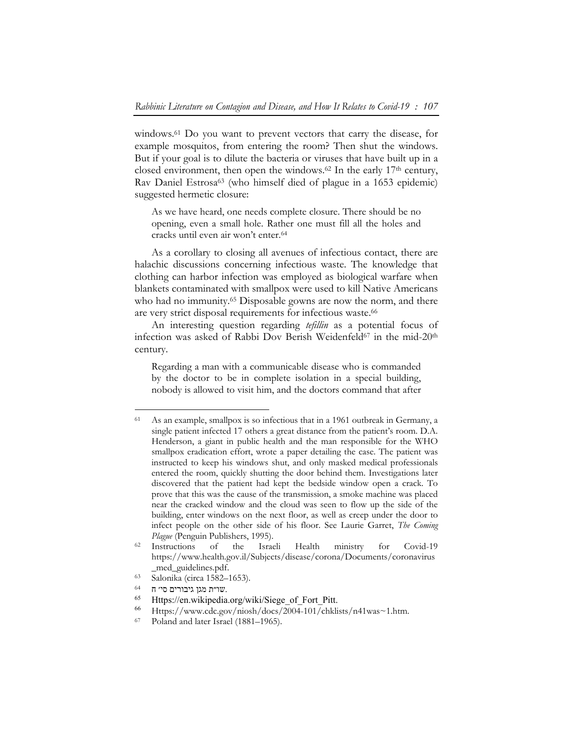windows.61 Do you want to prevent vectors that carry the disease, for example mosquitos, from entering the room? Then shut the windows. But if your goal is to dilute the bacteria or viruses that have built up in a closed environment, then open the windows.<sup>62</sup> In the early 17<sup>th</sup> century, Rav Daniel Estrosa<sup>63</sup> (who himself died of plague in a 1653 epidemic) suggested hermetic closure:

As we have heard, one needs complete closure. There should be no opening, even a small hole. Rather one must fill all the holes and cracks until even air won't enter.64

As a corollary to closing all avenues of infectious contact, there are halachic discussions concerning infectious waste. The knowledge that clothing can harbor infection was employed as biological warfare when blankets contaminated with smallpox were used to kill Native Americans who had no immunity.<sup>65</sup> Disposable gowns are now the norm, and there are very strict disposal requirements for infectious waste.<sup>66</sup>

An interesting question regarding *tefillin* as a potential focus of infection was asked of Rabbi Dov Berish Weidenfeld<sup>67</sup> in the mid-20<sup>th</sup> century.

Regarding a man with a communicable disease who is commanded by the doctor to be in complete isolation in a special building, nobody is allowed to visit him, and the doctors command that after

<sup>61</sup> As an example, smallpox is so infectious that in a 1961 outbreak in Germany, a single patient infected 17 others a great distance from the patient's room. D.A. Henderson, a giant in public health and the man responsible for the WHO smallpox eradication effort, wrote a paper detailing the case. The patient was instructed to keep his windows shut, and only masked medical professionals entered the room, quickly shutting the door behind them. Investigations later discovered that the patient had kept the bedside window open a crack. To prove that this was the cause of the transmission, a smoke machine was placed near the cracked window and the cloud was seen to flow up the side of the building, enter windows on the next floor, as well as creep under the door to infect people on the other side of his floor. See Laurie Garret, *The Coming Plague* (Penguin Publishers, 1995).

<sup>62</sup> Instructions of the Israeli Health ministry for Covid-19 https://www.health.gov.il/Subjects/disease/corona/Documents/coronavirus  $\_$ med $\_$ guidelines.pdf. 63 Salonika (circa 1582–1653).<br> ישו״ת מגן עיבורים מאן שו״ת.

<sup>65</sup> Https://en.wikipedia.org/wiki/Siege\_of\_Fort\_Pitt.

<sup>66</sup> Https://www.cdc.gov/niosh/docs/2004-101/chklists/n41was~1.htm.

<sup>67</sup> Poland and later Israel (1881–1965).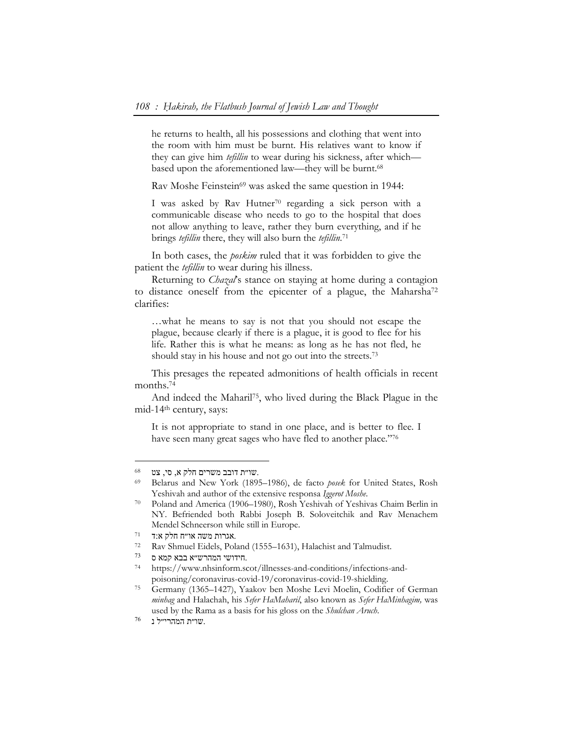he returns to health, all his possessions and clothing that went into the room with him must be burnt. His relatives want to know if they can give him *tefillin* to wear during his sickness, after which based upon the aforementioned law—they will be burnt.<sup>68</sup>

Rav Moshe Feinstein<sup>69</sup> was asked the same question in 1944:

I was asked by Rav Hutner70 regarding a sick person with a communicable disease who needs to go to the hospital that does not allow anything to leave, rather they burn everything, and if he brings *tefillin* there, they will also burn the *tefillin*. 71

In both cases, the *poskim* ruled that it was forbidden to give the patient the *tefillin* to wear during his illness.

Returning to *Chazal*'s stance on staying at home during a contagion to distance oneself from the epicenter of a plague, the Maharsha72 clarifies:

…what he means to say is not that you should not escape the plague, because clearly if there is a plague, it is good to flee for his life. Rather this is what he means: as long as he has not fled, he should stay in his house and not go out into the streets.73

This presages the repeated admonitions of health officials in recent months.74

And indeed the Maharil75, who lived during the Black Plague in the mid-14th century, says:

It is not appropriate to stand in one place, and is better to flee. I have seen many great sages who have fled to another place."76

<sup>68</sup> צט ,סי ,א חלק משרים דובב שו״ת. 69 Belarus and New York (1895–1986), de facto *posek* for United States, Rosh Yeshivah and author of the extensive responsa *Iggerot Moshe*. 70 Poland and America (1906–1980), Rosh Yeshivah of Yeshivas Chaim Berlin in

NY. Befriended both Rabbi Joseph B. Soloveitchik and Rav Menachem Mendel Schneerson while still in Europe.<br>17 האגרות משה או״ח חלק א<br/>: $71$  Rav Shmuel Eidels, Poland (1555–1631), Halachist and Talmudist.

<sup>73</sup> ס קמא בבא המהרש״א חידושי. 74 https://www.nhsinform.scot/illnesses-and-conditions/infections-and-

poisoning/coronavirus-covid-19/coronavirus-covid-19-shielding. 75 Germany (1365–1427), Yaakov ben Moshe Levi Moelin, Codifier of German *minhag* and Halachah, his *Sefer HaMaharil*, also known as *Sefer HaMinhagim,* was used by the Rama as a basis for his gloss on the *Shulchan Aruch*.

 $^{76}$ נ המהרי״ל נ המה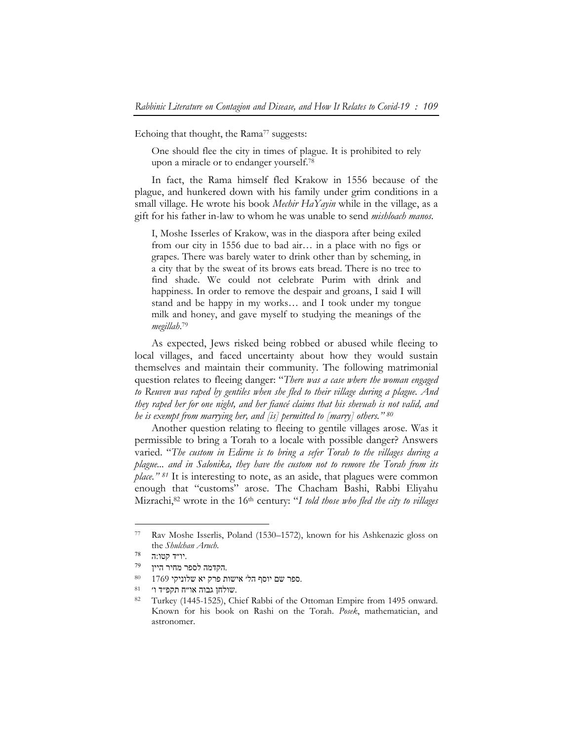Echoing that thought, the Rama<sup>77</sup> suggests:

One should flee the city in times of plague. It is prohibited to rely upon a miracle or to endanger yourself.78

In fact, the Rama himself fled Krakow in 1556 because of the plague, and hunkered down with his family under grim conditions in a small village. He wrote his book *Mechir HaYayin* while in the village, as a gift for his father in-law to whom he was unable to send *mishloach manos*.

I, Moshe Isserles of Krakow, was in the diaspora after being exiled from our city in 1556 due to bad air… in a place with no figs or grapes. There was barely water to drink other than by scheming, in a city that by the sweat of its brows eats bread. There is no tree to find shade. We could not celebrate Purim with drink and happiness. In order to remove the despair and groans, I said I will stand and be happy in my works… and I took under my tongue milk and honey, and gave myself to studying the meanings of the *megillah*. 79

As expected, Jews risked being robbed or abused while fleeing to local villages, and faced uncertainty about how they would sustain themselves and maintain their community. The following matrimonial question relates to fleeing danger: "*There was a case where the woman engaged to Reuven was raped by gentiles when she fled to their village during a plague. And they raped her for one night, and her fiancé claims that his shevuah is not valid, and he is exempt from marrying her, and [is] permitted to [marry] others." 80*

Another question relating to fleeing to gentile villages arose. Was it permissible to bring a Torah to a locale with possible danger? Answers varied. "*The custom in Edirne is to bring a sefer Torah to the villages during a plague... and in Salonika, they have the custom not to remove the Torah from its place." 81* It is interesting to note, as an aside, that plagues were common enough that "customs" arose. The Chacham Bashi, Rabbi Eliyahu Mizrachi,82 wrote in the 16th century: "*I told those who fled the city to villages* 

<sup>77</sup> Rav Moshe Isserlis, Poland (1530–1572), known for his Ashkenazic gloss on יר ב<br/>ה from Empire .<br> $\tau$ יר בחיו.<br>25 הקדמה לספר מחיר היין י<br/>.<br>31 הקדמה או״ח תקפ״ד ו׳ 81 .ספר שם יוסף הל׳ אישות פרק יא שלוניקי<br/> $^{81}$  .  $^{82}$  Turkey (1445-1525), Chief Rabbi of the Ottoman Empire from 1495 o

Known for his book on Rashi on the Torah. *Posek*, mathematician, and astronomer.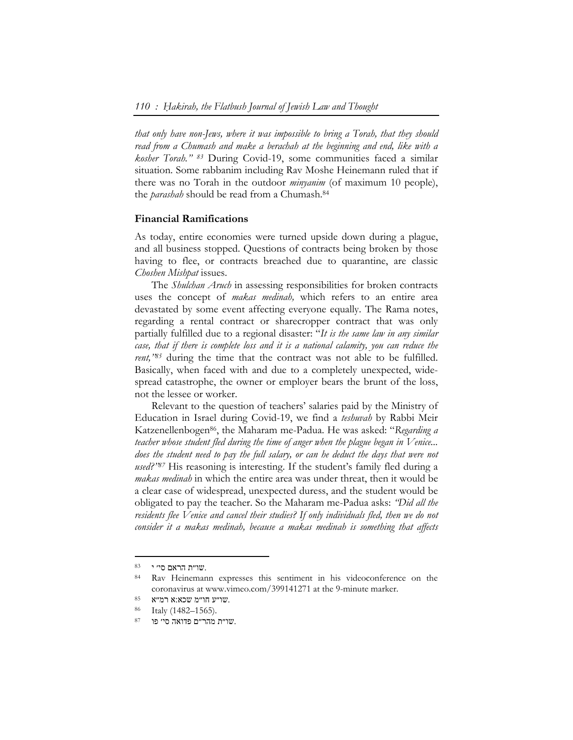*that only have non-Jews, where it was impossible to bring a Torah, that they should read from a Chumash and make a berachah at the beginning and end, like with a kosher Torah." 83* During Covid-19, some communities faced a similar situation. Some rabbanim including Rav Moshe Heinemann ruled that if there was no Torah in the outdoor *minyanim* (of maximum 10 people), the *parashah* should be read from a Chumash.84

#### **Financial Ramifications**

As today, entire economies were turned upside down during a plague, and all business stopped. Questions of contracts being broken by those having to flee, or contracts breached due to quarantine, are classic *Choshen Mishpat* issues.

The *Shulchan Aruch* in assessing responsibilities for broken contracts uses the concept of *makas medinah,* which refers to an entire area devastated by some event affecting everyone equally. The Rama notes, regarding a rental contract or sharecropper contract that was only partially fulfilled due to a regional disaster: "*It is the same law in any similar*  case, that if there is complete loss and it is a national calamity, you can reduce the *rent,"85* during the time that the contract was not able to be fulfilled. Basically, when faced with and due to a completely unexpected, widespread catastrophe, the owner or employer bears the brunt of the loss, not the lessee or worker.

Relevant to the question of teachers' salaries paid by the Ministry of Education in Israel during Covid-19, we find a *teshuvah* by Rabbi Meir Katzenellenbogen86, the Maharam me-Padua. He was asked: "*Regarding a teacher whose student fled during the time of anger when the plague began in Venice... does the student need to pay the full salary, or can he deduct the days that were not used?"87* His reasoning is interesting. If the student's family fled during a *makas medinah* in which the entire area was under threat, then it would be a clear case of widespread, unexpected duress, and the student would be obligated to pay the teacher. So the Maharam me-Padua asks: *"Did all the residents flee Venice and cancel their studies? If only individuals fled, then we do not consider it a makas medinah, because a makas medinah is something that affects* 

<sup>83</sup> י סי׳ הראם שו״ת. 84 Rav Heinemann expresses this sentiment in his videoconference on the  $\begin{array}{lll} \text{coronavirus at www.vimeo.com/399141271 at the 9-minute marker.}\\ \text{s5} & \text{k''} & \text{M''} & \text{M''} \\ \text{K''} & \text{M''} & \text{M''} \\ \text{M''} & \text{M''} & \text{M''} \\ \text{M''} & \text{M''} & \text{M''} \\ \text{M''} & \text{M''} & \text{M''} \\ \text{M''} & \text{M''} & \text{M''} \\ \text{M''} & \text{M''} & \text{M''} \\ \text{M''} & \text{M''} & \text{M''} \\ \text{M''} &$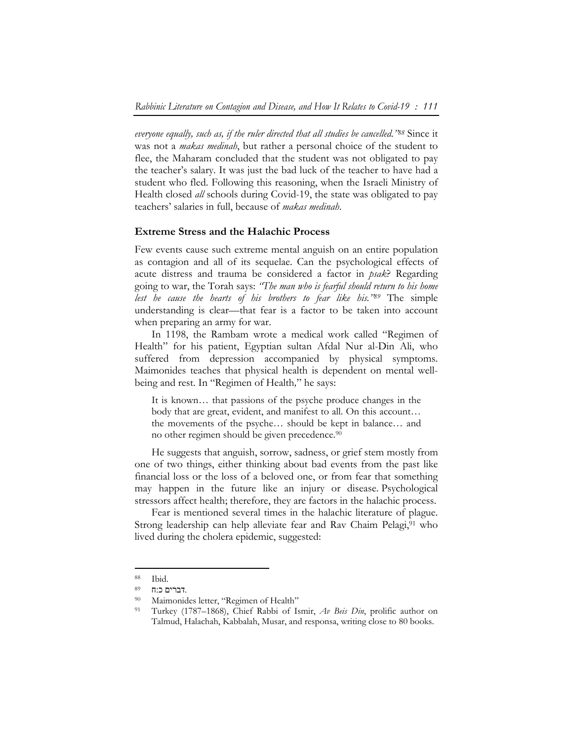*everyone equally, such as, if the ruler directed that all studies be cancelled."88* Since it was not a *makas medinah*, but rather a personal choice of the student to flee, the Maharam concluded that the student was not obligated to pay the teacher's salary. It was just the bad luck of the teacher to have had a student who fled. Following this reasoning, when the Israeli Ministry of Health closed *all* schools during Covid-19, the state was obligated to pay teachers' salaries in full, because of *makas medinah*.

## **Extreme Stress and the Halachic Process**

Few events cause such extreme mental anguish on an entire population as contagion and all of its sequelae. Can the psychological effects of acute distress and trauma be considered a factor in *psak*? Regarding going to war, the Torah says: *"The man who is fearful should return to his home lest he cause the hearts of his brothers to fear like his."89* The simple understanding is clear—that fear is a factor to be taken into account when preparing an army for war.

In 1198, the Rambam wrote a medical work called "Regimen of Health" for his patient, Egyptian sultan Afdal Nur al-Din Ali, who suffered from depression accompanied by physical symptoms. Maimonides teaches that physical health is dependent on mental wellbeing and rest. In "Regimen of Health*,*" he says:

It is known… that passions of the psyche produce changes in the body that are great, evident, and manifest to all. On this account… the movements of the psyche… should be kept in balance… and no other regimen should be given precedence.90

He suggests that anguish, sorrow, sadness, or grief stem mostly from one of two things, either thinking about bad events from the past like financial loss or the loss of a beloved one, or from fear that something may happen in the future like an injury or disease. Psychological stressors affect health; therefore, they are factors in the halachic process.

Fear is mentioned several times in the halachic literature of plague. Strong leadership can help alleviate fear and Rav Chaim Pelagi,<sup>91</sup> who lived during the cholera epidemic, suggested:

<sup>88</sup> Ibid. 89 ח:כ דברים. 90 Maimonides letter, "Regimen of Health" 91 Turkey (1787–1868), Chief Rabbi of Ismir, *Av Beis Din*, prolific author on Talmud, Halachah, Kabbalah, Musar, and responsa, writing close to 80 books.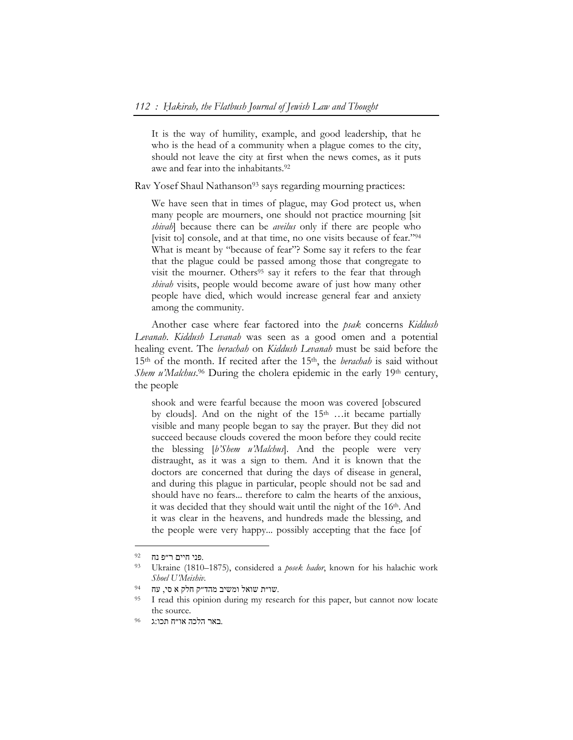It is the way of humility, example, and good leadership, that he who is the head of a community when a plague comes to the city, should not leave the city at first when the news comes, as it puts awe and fear into the inhabitants.92

Rav Yosef Shaul Nathanson<sup>93</sup> says regarding mourning practices:

We have seen that in times of plague, may God protect us, when many people are mourners, one should not practice mourning [sit *shivah*] because there can be *aveilus* only if there are people who [visit to] console, and at that time, no one visits because of fear."<sup>94</sup> What is meant by "because of fear"? Some say it refers to the fear that the plague could be passed among those that congregate to visit the mourner. Others<sup>95</sup> say it refers to the fear that through *shivah* visits, people would become aware of just how many other people have died, which would increase general fear and anxiety among the community.

Another case where fear factored into the *psak* concerns *Kiddush Levanah*. *Kiddush Levanah* was seen as a good omen and a potential healing event. The *berachah* on *Kiddush Levanah* must be said before the 15th of the month. If recited after the 15th, the *berachah* is said without Shem u'Malchus.<sup>96</sup> During the cholera epidemic in the early 19<sup>th</sup> century, the people

shook and were fearful because the moon was covered [obscured by clouds]. And on the night of the  $15<sup>th</sup>$  …it became partially visible and many people began to say the prayer. But they did not succeed because clouds covered the moon before they could recite the blessing [*b'Shem u'Malchus*]. And the people were very distraught, as it was a sign to them. And it is known that the doctors are concerned that during the days of disease in general, and during this plague in particular, people should not be sad and should have no fears... therefore to calm the hearts of the anxious, it was decided that they should wait until the night of the 16th. And it was clear in the heavens, and hundreds made the blessing, and the people were very happy... possibly accepting that the face [of

<sup>92</sup> נח ר״פ חיים פני. 93 Ukraine (1810–1875), considered a *posek hador*, known for his halachic work *Shoel U'Meishiv*. 94 עח ,סי א חלק מהד״ק ומשיב שואל שו״ת. 95 I read this opinion during my research for this paper, but cannot now locate

 $\begin{array}{lll} \text{the source.} \\ \text{96} & \text{A} \\ \text{B} \end{array}$ באר הלכה או״ח תכו:ג.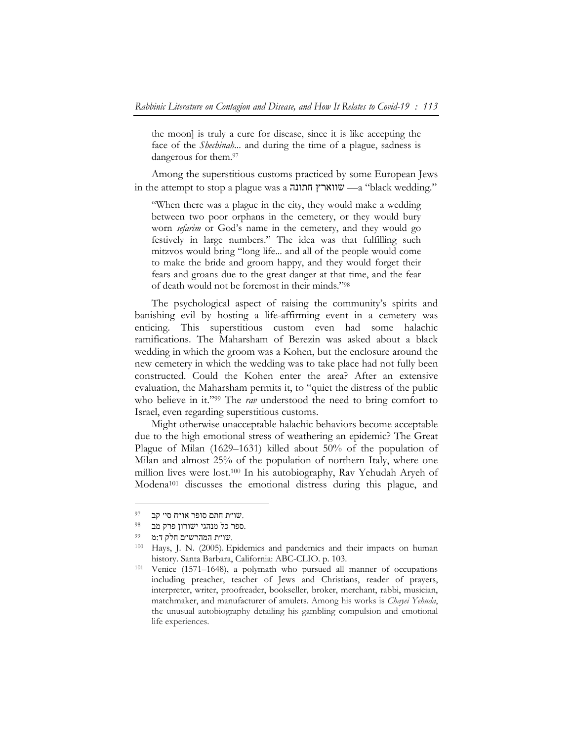the moon] is truly a cure for disease, since it is like accepting the face of the *Shechinah*... and during the time of a plague, sadness is dangerous for them.97

Among the superstitious customs practiced by some European Jews in the attempt to stop a plague was a חתונה שווארץ— a "black wedding."

"When there was a plague in the city, they would make a wedding between two poor orphans in the cemetery, or they would bury worn *sefarim* or God's name in the cemetery, and they would go festively in large numbers." The idea was that fulfilling such mitzvos would bring "long life... and all of the people would come to make the bride and groom happy, and they would forget their fears and groans due to the great danger at that time, and the fear of death would not be foremost in their minds."98

The psychological aspect of raising the community's spirits and banishing evil by hosting a life-affirming event in a cemetery was enticing. This superstitious custom even had some halachic ramifications. The Maharsham of Berezin was asked about a black wedding in which the groom was a Kohen, but the enclosure around the new cemetery in which the wedding was to take place had not fully been constructed. Could the Kohen enter the area? After an extensive evaluation, the Maharsham permits it, to "quiet the distress of the public who believe in it."99 The *rav* understood the need to bring comfort to Israel, even regarding superstitious customs.

Might otherwise unacceptable halachic behaviors become acceptable due to the high emotional stress of weathering an epidemic? The Great Plague of Milan (1629–1631) killed about 50% of the population of Milan and almost 25% of the population of northern Italy, where one million lives were lost.100 In his autobiography, Rav Yehudah Aryeh of Modena101 discusses the emotional distress during this plague, and

 $\,$ 97 - שו״ת סופר אוי״ח סי׳ קב פל<br/>89 .<br>2005 - ספר כל מנהגי ישורון פרק מב 99 .<br>2005 .<br>2005 (שומת Hays, J. N. (2005). Epidemics and pandemics and their impacts on human . history. Santa Barbara, California: ABC-CLIO. p. 103.<br><sup>101</sup> Venice (1571–1648), a polymath who pursued all manner of occupations

including preacher, teacher of Jews and Christians, reader of prayers, interpreter, writer, proofreader, bookseller, broker, merchant, rabbi, musician, matchmaker, and manufacturer of amulets. Among his works is *Chayei Yehuda*, the unusual autobiography detailing his gambling compulsion and emotional life experiences.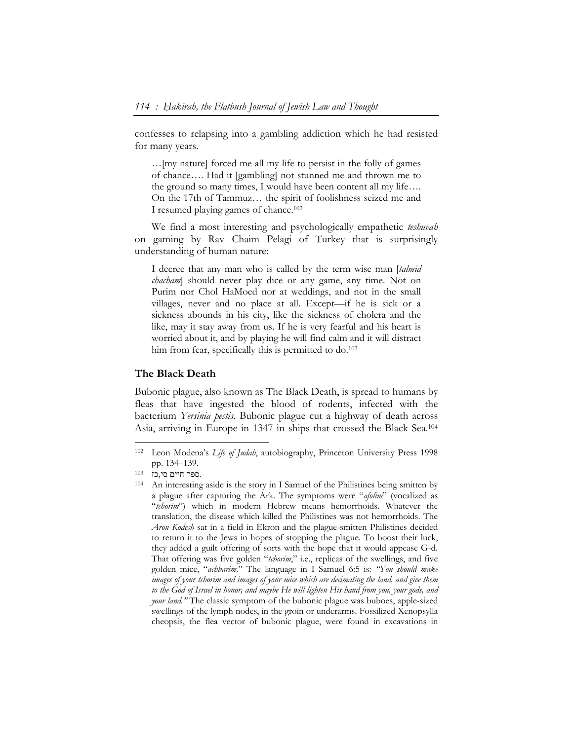confesses to relapsing into a gambling addiction which he had resisted for many years.

…[my nature] forced me all my life to persist in the folly of games of chance…. Had it [gambling] not stunned me and thrown me to the ground so many times, I would have been content all my life…. On the 17th of Tammuz… the spirit of foolishness seized me and I resumed playing games of chance.102

We find a most interesting and psychologically empathetic *teshuvah* on gaming by Rav Chaim Pelagi of Turkey that is surprisingly understanding of human nature:

I decree that any man who is called by the term wise man [*talmid chacham*] should never play dice or any game, any time. Not on Purim nor Chol HaMoed nor at weddings, and not in the small villages, never and no place at all. Except—if he is sick or a sickness abounds in his city, like the sickness of cholera and the like, may it stay away from us. If he is very fearful and his heart is worried about it, and by playing he will find calm and it will distract him from fear, specifically this is permitted to do.<sup>103</sup>

## **The Black Death**

Bubonic plague, also known as The Black Death, is spread to humans by fleas that have ingested the blood of rodents, infected with the bacterium *Yersinia pestis*. Bubonic plague cut a highway of death across Asia, arriving in Europe in 1347 in ships that crossed the Black Sea.104

<sup>102</sup> Leon Modena's *Life of Judah*, autobiography, Princeton University Press 1998 pp. 134–139.<br>103 **ספר חיים סי,כז.**<br>104 An interesting aside is the story in I Samuel of the Philistines being smitten by

a plague after capturing the Ark. The symptoms were "*afolim*" (vocalized as "*tchorim*") which in modern Hebrew means hemorrhoids. Whatever the translation, the disease which killed the Philistines was not hemorrhoids. The *Aron Kodesh* sat in a field in Ekron and the plague-smitten Philistines decided to return it to the Jews in hopes of stopping the plague. To boost their luck, they added a guilt offering of sorts with the hope that it would appease G-d. That offering was five golden "*tchorim*," i.e., replicas of the swellings, and five golden mice, "*achbarim*." The language in I Samuel 6:5 is: *"You should make images of your tchorim and images of your mice which are decimating the land, and give them to the God of Israel in honor, and maybe He will lighten His hand from you, your gods, and your land."* The classic symptom of the bubonic plague was buboes, apple-sized swellings of the lymph nodes, in the groin or underarms. Fossilized Xenopsylla cheopsis, the flea vector of bubonic plague, were found in excavations in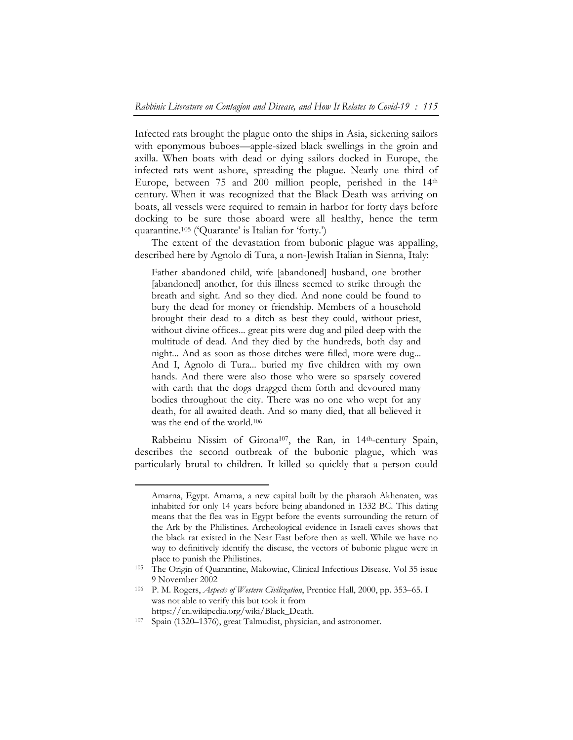Infected rats brought the plague onto the ships in Asia, sickening sailors with eponymous buboes—apple-sized black swellings in the groin and axilla. When boats with dead or dying sailors docked in Europe, the infected rats went ashore, spreading the plague. Nearly one third of Europe, between 75 and 200 million people, perished in the 14<sup>th</sup> century. When it was recognized that the Black Death was arriving on boats, all vessels were required to remain in harbor for forty days before docking to be sure those aboard were all healthy, hence the term quarantine.105 ('Quarante' is Italian for 'forty.')

The extent of the devastation from bubonic plague was appalling, described here by Agnolo di Tura, a non-Jewish Italian in Sienna, Italy:

Father abandoned child, wife [abandoned] husband, one brother [abandoned] another, for this illness seemed to strike through the breath and sight. And so they died. And none could be found to bury the dead for money or friendship. Members of a household brought their dead to a ditch as best they could, without priest, without divine offices... great pits were dug and piled deep with the multitude of dead. And they died by the hundreds, both day and night... And as soon as those ditches were filled, more were dug... And I, Agnolo di Tura... buried my five children with my own hands. And there were also those who were so sparsely covered with earth that the dogs dragged them forth and devoured many bodies throughout the city. There was no one who wept for any death, for all awaited death. And so many died, that all believed it was the end of the world.106

Rabbeinu Nissim of Girona107, the Ran*,* in 14th-century Spain, describes the second outbreak of the bubonic plague, which was particularly brutal to children. It killed so quickly that a person could

Amarna, Egypt. Amarna, a new capital built by the pharaoh Akhenaten, was inhabited for only 14 years before being abandoned in 1332 BC. This dating means that the flea was in Egypt before the events surrounding the return of the Ark by the Philistines. Archeological evidence in Israeli caves shows that the black rat existed in the Near East before then as well. While we have no way to definitively identify the disease, the vectors of bubonic plague were in place to punish the Philistines.

<sup>105</sup> The Origin of Quarantine, Makowiac, Clinical Infectious Disease, Vol 35 issue 9 November 2002 106 P. M. Rogers, *Aspects of Western Civilization*, Prentice Hall, 2000, pp. 353–65. I

was not able to verify this but took it from

https://en.wikipedia.org/wiki/Black\_Death. 107 Spain (1320–1376), great Talmudist, physician, and astronomer.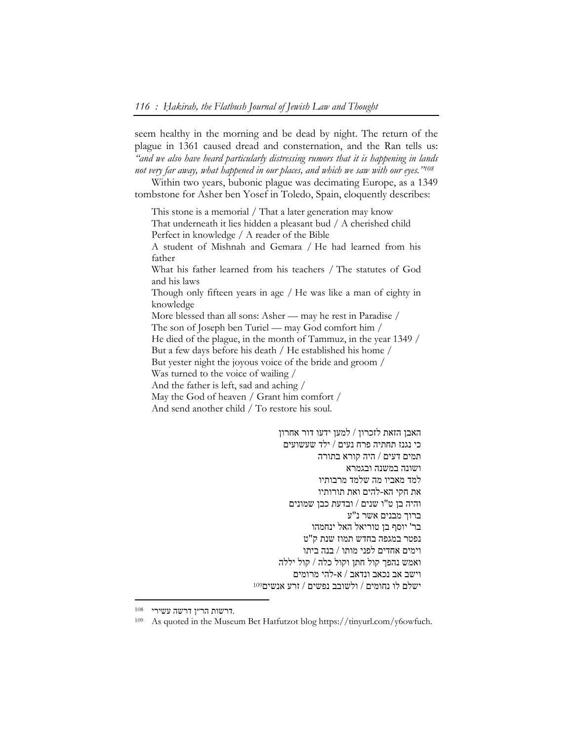seem healthy in the morning and be dead by night. The return of the plague in 1361 caused dread and consternation, and the Ran tells us: *"and we also have heard particularly distressing rumors that it is happening in lands not very far away, what happened in our places, and which we saw with our eyes."108*

Within two years, bubonic plague was decimating Europe, as a 1349 tombstone for Asher ben Yosef in Toledo, Spain, eloquently describes:

This stone is a memorial / That a later generation may know

That underneath it lies hidden a pleasant bud / A cherished child Perfect in knowledge / A reader of the Bible

A student of Mishnah and Gemara / He had learned from his father

What his father learned from his teachers / The statutes of God and his laws

Though only fifteen years in age / He was like a man of eighty in knowledge

More blessed than all sons: Asher — may he rest in Paradise /

The son of Joseph ben Turiel — may God comfort him /

He died of the plague, in the month of Tammuz, in the year 1349 /

But a few days before his death / He established his home /

But yester night the joyous voice of the bride and groom /

Was turned to the voice of wailing /

And the father is left, sad and aching /

May the God of heaven / Grant him comfort /

And send another child / To restore his soul.

האבן הזאת לזכרון / למען ידעו דור אחרון כי נגנז תחתיה פרח נעים / ילד שעשועים תמים דעים / היה קורא בתורה ושונה במשנה ובגמרא למד מאביו מה שלמד מרבותיו את חקי הא-להים ואת תורותיו והיה בן ט"ו שנים / ובדעת כבן שמונים ברוך מבנים אשר נ"ע בר' יוסף בן טוריאל האל ינחמהו נפטר במגפה בחדש תמוז שנת ק"ט וימים אחדים לפני מותו / בנה ביתו ואמש נהפך קול חתן וקול כלה / קול יללה וישב אב נכאב ונדאב / א-להי מרומים  $^{109}$ ישלם לו נחומים / ולשובב נפשים / זרע אנשים

<sup>108</sup> דרשות הר״ן דרשה עשירי.

<sup>109</sup> As quoted in the Museum Bet Hatfutzot blog https://tinyurl.com/y6owfuch.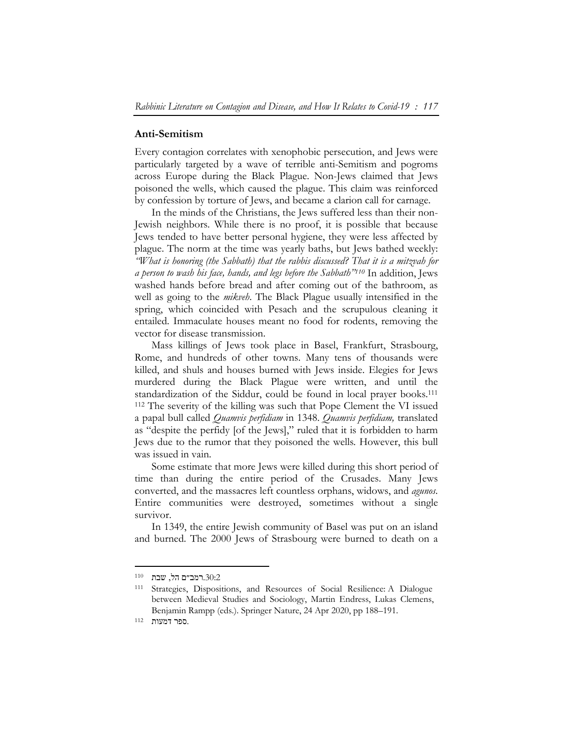#### **Anti-Semitism**

Every contagion correlates with xenophobic persecution, and Jews were particularly targeted by a wave of terrible anti-Semitism and pogroms across Europe during the Black Plague. Non-Jews claimed that Jews poisoned the wells, which caused the plague. This claim was reinforced by confession by torture of Jews, and became a clarion call for carnage.

In the minds of the Christians, the Jews suffered less than their non-Jewish neighbors. While there is no proof, it is possible that because Jews tended to have better personal hygiene, they were less affected by plague. The norm at the time was yearly baths, but Jews bathed weekly: *"What is honoring (the Sabbath) that the rabbis discussed? That it is a mitzvah for a person to wash his face, hands, and legs before the Sabbath"110* In addition, Jews washed hands before bread and after coming out of the bathroom, as well as going to the *mikveh*. The Black Plague usually intensified in the spring, which coincided with Pesach and the scrupulous cleaning it entailed. Immaculate houses meant no food for rodents, removing the vector for disease transmission.

Mass killings of Jews took place in Basel, Frankfurt, Strasbourg, Rome, and hundreds of other towns. Many tens of thousands were killed, and shuls and houses burned with Jews inside. Elegies for Jews murdered during the Black Plague were written, and until the standardization of the Siddur, could be found in local prayer books.111 112 The severity of the killing was such that Pope Clement the VI issued a papal bull called *Quamvis perfidiam* in 1348. *Quamvis perfidiam,* translated as "despite the perfidy [of the Jews]," ruled that it is forbidden to harm Jews due to the rumor that they poisoned the wells*.* However, this bull was issued in vain.

Some estimate that more Jews were killed during this short period of time than during the entire period of the Crusades. Many Jews converted, and the massacres left countless orphans, widows, and *agunos*. Entire communities were destroyed, sometimes without a single survivor.

In 1349, the entire Jewish community of Basel was put on an island and burned. The 2000 Jews of Strasbourg were burned to death on a

<sup>110</sup> שבת ,הל רמב״ם.30:2 111 Strategies, Dispositions, and Resources of Social Resilience: A Dialogue between Medieval Studies and Sociology, Martin Endress, Lukas Clemens, Benjamin Rampp (eds.). Springer Nature, 24 Apr 2020, pp 188-191.

<sup>112</sup> דמעות ספר.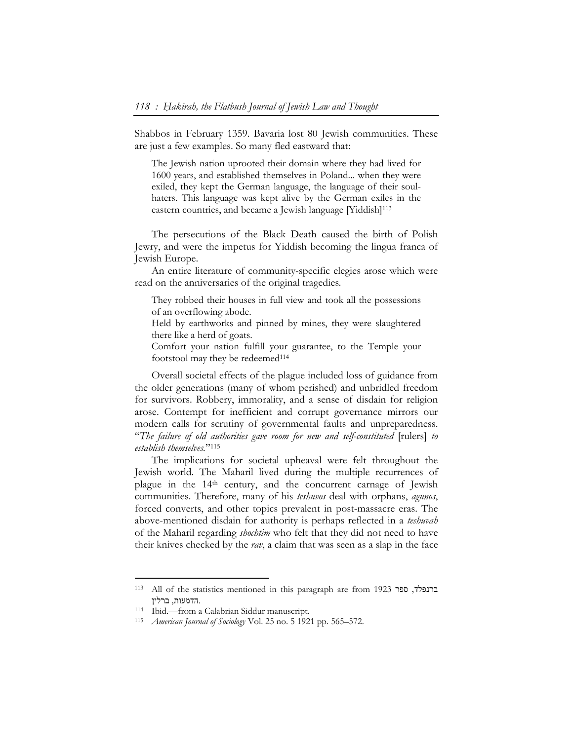Shabbos in February 1359. Bavaria lost 80 Jewish communities. These are just a few examples. So many fled eastward that:

The Jewish nation uprooted their domain where they had lived for 1600 years, and established themselves in Poland... when they were exiled, they kept the German language, the language of their soulhaters. This language was kept alive by the German exiles in the eastern countries, and became a Jewish language [Yiddish]<sup>113</sup>

The persecutions of the Black Death caused the birth of Polish Jewry, and were the impetus for Yiddish becoming the lingua franca of Jewish Europe.

An entire literature of community-specific elegies arose which were read on the anniversaries of the original tragedies*.*

They robbed their houses in full view and took all the possessions of an overflowing abode.

Held by earthworks and pinned by mines, they were slaughtered there like a herd of goats.

Comfort your nation fulfill your guarantee, to the Temple your footstool may they be redeemed<sup>114</sup>

Overall societal effects of the plague included loss of guidance from the older generations (many of whom perished) and unbridled freedom for survivors. Robbery, immorality, and a sense of disdain for religion arose. Contempt for inefficient and corrupt governance mirrors our modern calls for scrutiny of governmental faults and unpreparedness. "*The failure of old authorities gave room for new and self-constituted* [rulers] *to establish themselves.*"115

The implications for societal upheaval were felt throughout the Jewish world. The Maharil lived during the multiple recurrences of plague in the 14th century, and the concurrent carnage of Jewish communities. Therefore, many of his *teshuvos* deal with orphans, *agunos*, forced converts, and other topics prevalent in post-massacre eras. The above-mentioned disdain for authority is perhaps reflected in a *teshuvah* of the Maharil regarding *shochtim* who felt that they did not need to have their knives checked by the *rav*, a claim that was seen as a slap in the face

<sup>113</sup> All of the statistics mentioned in this paragraph are from 1923 ספר ,ברנפלד הדמעות, ברלין.<br>114 Ibid.—from a Calabrian Siddur manuscript.

<sup>&</sup>lt;sup>115</sup> American Journal of Sociology Vol. 25 no. 5 1921 pp. 565–572.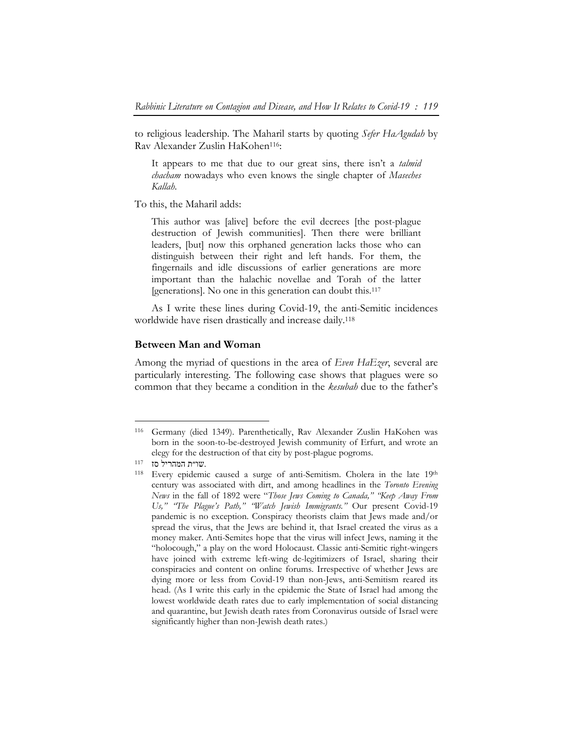to religious leadership. The Maharil starts by quoting *Sefer HaAgudah* by Rav Alexander Zuslin HaKohen<sup>116</sup>:

It appears to me that due to our great sins, there isn't a *talmid chacham* nowadays who even knows the single chapter of *Maseches Kallah*.

To this, the Maharil adds:

This author was [alive] before the evil decrees [the post-plague destruction of Jewish communities]. Then there were brilliant leaders, [but] now this orphaned generation lacks those who can distinguish between their right and left hands. For them, the fingernails and idle discussions of earlier generations are more important than the halachic novellae and Torah of the latter [generations]. No one in this generation can doubt this.117

As I write these lines during Covid-19, the anti-Semitic incidences worldwide have risen drastically and increase daily.118

# **Between Man and Woman**

Among the myriad of questions in the area of *Even HaEzer*, several are particularly interesting. The following case shows that plagues were so common that they became a condition in the *kesubah* due to the father's

<sup>116</sup> Germany (died 1349). Parenthetically, Rav Alexander Zuslin HaKohen was born in the soon-to-be-destroyed Jewish community of Erfurt, and wrote an elegy for the destruction of that city by post-plague pogroms.<br>117 שו״ת המהריל סז W. Every epidemic caused a surge of anti-Semitism. Cholera in the late 19th

century was associated with dirt, and among headlines in the *Toronto Evening News* in the fall of 1892 were "*Those Jews Coming to Canada," "Keep Away From Us," "The Plague's Path," "Watch Jewish Immigrants."* Our present Covid-19 pandemic is no exception. Conspiracy theorists claim that Jews made and/or spread the virus, that the Jews are behind it, that Israel created the virus as a money maker. Anti-Semites hope that the virus will infect Jews, naming it the "holocough," a play on the word Holocaust. Classic anti-Semitic right-wingers have joined with extreme left-wing de-legitimizers of Israel, sharing their conspiracies and content on online forums. Irrespective of whether Jews are dying more or less from Covid-19 than non-Jews, anti-Semitism reared its head. (As I write this early in the epidemic the State of Israel had among the lowest worldwide death rates due to early implementation of social distancing and quarantine, but Jewish death rates from Coronavirus outside of Israel were significantly higher than non-Jewish death rates.)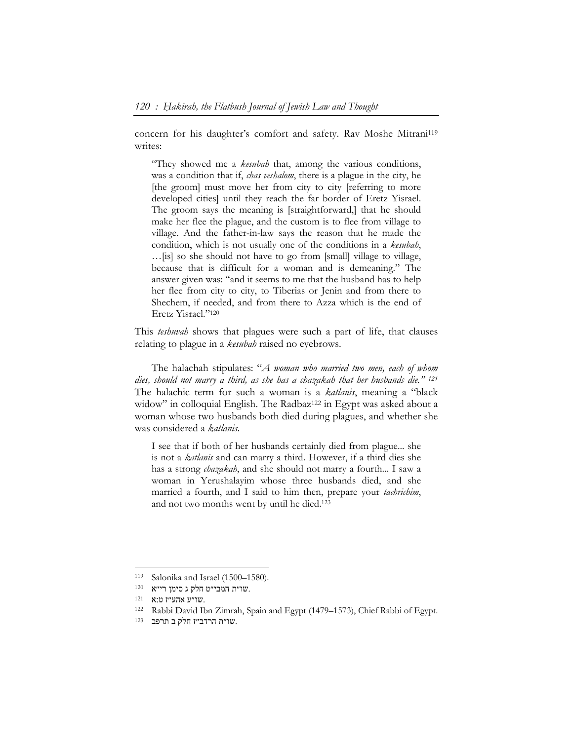concern for his daughter's comfort and safety. Rav Moshe Mitrani119 writes:

"They showed me a *kesubah* that, among the various conditions, was a condition that if, *chas veshalom*, there is a plague in the city, he [the groom] must move her from city to city [referring to more developed cities] until they reach the far border of Eretz Yisrael. The groom says the meaning is [straightforward,] that he should make her flee the plague, and the custom is to flee from village to village. And the father-in-law says the reason that he made the condition, which is not usually one of the conditions in a *kesubah*, …[is] so she should not have to go from [small] village to village, because that is difficult for a woman and is demeaning." The answer given was: "and it seems to me that the husband has to help her flee from city to city, to Tiberias or Jenin and from there to Shechem, if needed, and from there to Azza which is the end of Eretz Yisrael."120

This *teshuvah* shows that plagues were such a part of life, that clauses relating to plague in a *kesubah* raised no eyebrows.

The halachah stipulates: "*A woman who married two men, each of whom dies, should not marry a third, as she has a chazakah that her husbands die." 121* The halachic term for such a woman is a *katlanis*, meaning a "black widow" in colloquial English. The Radbaz<sup>122</sup> in Egypt was asked about a woman whose two husbands both died during plagues, and whether she was considered a *katlanis*.

I see that if both of her husbands certainly died from plague... she is not a *katlanis* and can marry a third. However, if a third dies she has a strong *chazakah*, and she should not marry a fourth... I saw a woman in Yerushalayim whose three husbands died, and she married a fourth, and I said to him then, prepare your *tachrichim*, and not two months went by until he died.123

<sup>133 .</sup>Egypt of Rabbi שו״ת המבי״ט חלק ג סימן רי״א .<br>120 .שו״ע המבי״ט חלק ג סימן רי״א (Rabbi David Ibn Zimrah, Spain and Egypt <br/>(1479–1573), Chief Rabbi of Egypt . $\,$ אהע״ז הרדב״ז הרדב״ז וו<br/>ר $\,$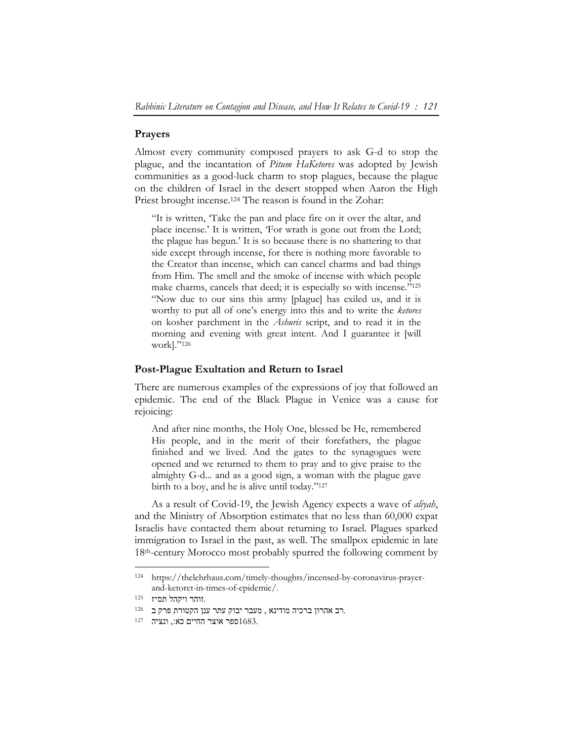## **Prayers**

Almost every community composed prayers to ask G-d to stop the plague, and the incantation of *Pitum HaKetores* was adopted by Jewish communities as a good-luck charm to stop plagues, because the plague on the children of Israel in the desert stopped when Aaron the High Priest brought incense.124 The reason is found in the Zohar:

"It is written, 'Take the pan and place fire on it over the altar, and place incense.' It is written, 'For wrath is gone out from the Lord; the plague has begun.' It is so because there is no shattering to that side except through incense, for there is nothing more favorable to the Creator than incense, which can cancel charms and bad things from Him. The smell and the smoke of incense with which people make charms, cancels that deed; it is especially so with incense."125 "Now due to our sins this army [plague] has exiled us, and it is worthy to put all of one's energy into this and to write the *ketores* on kosher parchment in the *Ashuris* script, and to read it in the morning and evening with great intent. And I guarantee it [will work]."126

#### **Post-Plague Exultation and Return to Israel**

There are numerous examples of the expressions of joy that followed an epidemic. The end of the Black Plague in Venice was a cause for rejoicing:

And after nine months, the Holy One, blessed be He, remembered His people, and in the merit of their forefathers, the plague finished and we lived. And the gates to the synagogues were opened and we returned to them to pray and to give praise to the almighty G-d... and as a good sign, a woman with the plague gave birth to a boy, and he is alive until today."127

As a result of Covid-19, the Jewish Agency expects a wave of *aliyah*, and the Ministry of Absorption estimates that no less than 60,000 expat Israelis have contacted them about returning to Israel. Plagues sparked immigration to Israel in the past, as well. The smallpox epidemic in late 18<sup>th</sup>-century Morocco most probably spurred the following comment by

 $124$ https://thelehrhaus.com/timely-thoughts/incensed-by-coronavirus-prayer-and-ketoret-in-times-of-epidemic/.<br>
עהר ויקהל תס"ז.<br>
נזהר ויקהל היז 125 יבוק עתר ענן הקטורת פרק ב<br/> 125 יוהר ויקהל היז 126 .<br>
רב אהרון ברכיה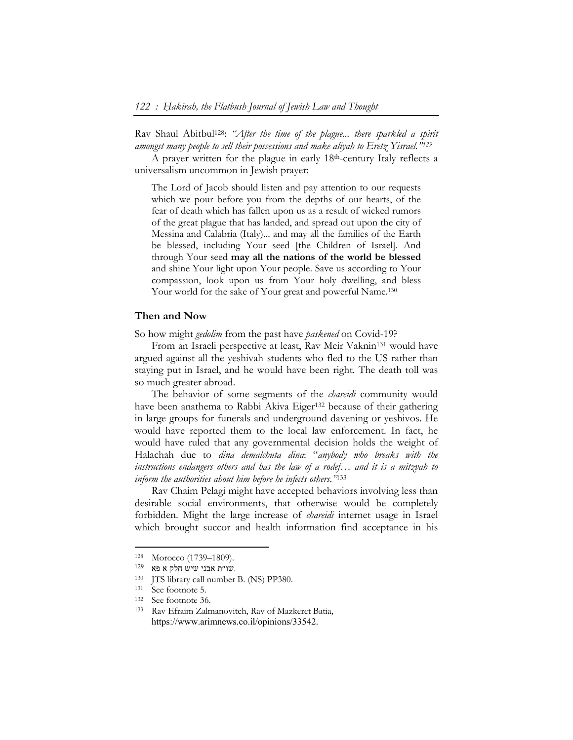Rav Shaul Abitbul128: *"After the time of the plague... there sparkled a spirit amongst many people to sell their possessions and make aliyah to Eretz Yisrael."129*

A prayer written for the plague in early 18<sup>th</sup>-century Italy reflects a universalism uncommon in Jewish prayer:

The Lord of Jacob should listen and pay attention to our requests which we pour before you from the depths of our hearts, of the fear of death which has fallen upon us as a result of wicked rumors of the great plague that has landed, and spread out upon the city of Messina and Calabria (Italy)... and may all the families of the Earth be blessed, including Your seed [the Children of Israel]. And through Your seed **may all the nations of the world be blessed** and shine Your light upon Your people. Save us according to Your compassion, look upon us from Your holy dwelling, and bless Your world for the sake of Your great and powerful Name.130

#### **Then and Now**

So how might *gedolim* from the past have *paskened* on Covid-19?

From an Israeli perspective at least, Rav Meir Vaknin131 would have argued against all the yeshivah students who fled to the US rather than staying put in Israel, and he would have been right. The death toll was so much greater abroad.

The behavior of some segments of the *chareidi* community would have been anathema to Rabbi Akiva Eiger<sup>132</sup> because of their gathering in large groups for funerals and underground davening or yeshivos. He would have reported them to the local law enforcement. In fact, he would have ruled that any governmental decision holds the weight of Halachah due to *dina demalchuta dina*: "*anybody who breaks with the instructions endangers others and has the law of a rodef… and it is a mitzvah to inform the authorities about him before he infects others."*133

Rav Chaim Pelagi might have accepted behaviors involving less than desirable social environments, that otherwise would be completely forbidden. Might the large increase of *chareidi* internet usage in Israel which brought succor and health information find acceptance in his

 $\frac{128}{129}$  Morocco (1739–1809).

 $\begin{array}{lll} \text{129} & \text{129} & \text{130} & \text{171} & \text{181} & \text{182} & \text{183} \\ \text{130} & \text{171} & \text{182} & \text{183} & \text{184} & \text{185} \\ \text{131} & \text{185} & \text{185} & \text{186} & \text{187} & \text{188} \\ \text{137} & \text{187} & \text{188} & \text{187} & \text{187} & \text{188} \\ \text{138} & \text$ https://www.arimnews.co.il/opinions/33542.